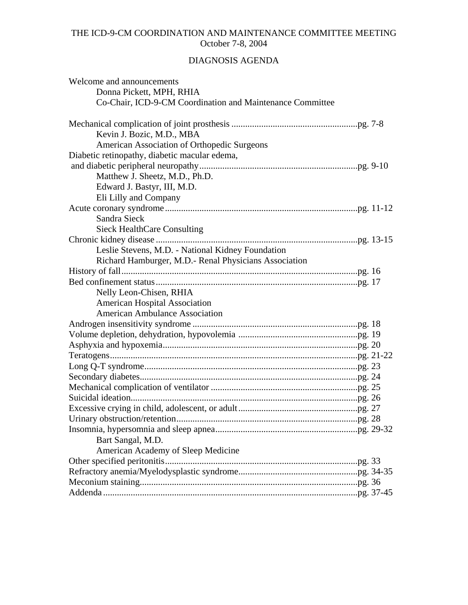# THE ICD-9-CM COORDINATION AND MAINTENANCE COMMITTEE MEETING October 7-8, 2004

# DIAGNOSIS AGENDA

| Welcome and announcements                                 |
|-----------------------------------------------------------|
| Donna Pickett, MPH, RHIA                                  |
| Co-Chair, ICD-9-CM Coordination and Maintenance Committee |
|                                                           |
| Kevin J. Bozic, M.D., MBA                                 |
| American Association of Orthopedic Surgeons               |
| Diabetic retinopathy, diabetic macular edema,             |
|                                                           |
| Matthew J. Sheetz, M.D., Ph.D.                            |
| Edward J. Bastyr, III, M.D.                               |
| Eli Lilly and Company                                     |
|                                                           |
| Sandra Sieck                                              |
| <b>Sieck HealthCare Consulting</b>                        |
|                                                           |
| Leslie Stevens, M.D. - National Kidney Foundation         |
| Richard Hamburger, M.D.- Renal Physicians Association     |
|                                                           |
|                                                           |
| Nelly Leon-Chisen, RHIA                                   |
| <b>American Hospital Association</b>                      |
| <b>American Ambulance Association</b>                     |
|                                                           |
|                                                           |
|                                                           |
|                                                           |
|                                                           |
|                                                           |
|                                                           |
|                                                           |
|                                                           |
|                                                           |
|                                                           |
| Bart Sangal, M.D.                                         |
| American Academy of Sleep Medicine                        |
|                                                           |
|                                                           |
|                                                           |
|                                                           |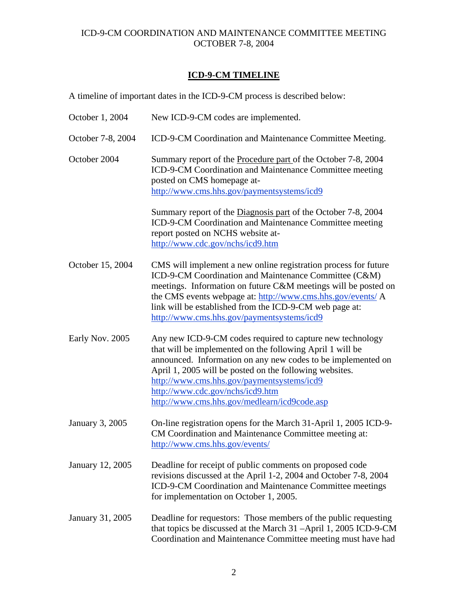# **ICD-9-CM TIMELINE**

A timeline of important dates in the ICD-9-CM process is described below:

| October 1, 2004   | New ICD-9-CM codes are implemented.                                                                                                                                                                                                                                                                                                                                                 |
|-------------------|-------------------------------------------------------------------------------------------------------------------------------------------------------------------------------------------------------------------------------------------------------------------------------------------------------------------------------------------------------------------------------------|
| October 7-8, 2004 | ICD-9-CM Coordination and Maintenance Committee Meeting.                                                                                                                                                                                                                                                                                                                            |
| October 2004      | Summary report of the <b>Procedure part</b> of the October 7-8, 2004<br>ICD-9-CM Coordination and Maintenance Committee meeting<br>posted on CMS homepage at-<br>http://www.cms.hhs.gov/paymentsystems/icd9                                                                                                                                                                         |
|                   | Summary report of the Diagnosis part of the October 7-8, 2004<br>ICD-9-CM Coordination and Maintenance Committee meeting<br>report posted on NCHS website at-<br>http://www.cdc.gov/nchs/icd9.htm                                                                                                                                                                                   |
| October 15, 2004  | CMS will implement a new online registration process for future<br>ICD-9-CM Coordination and Maintenance Committee (C&M)<br>meetings. Information on future C&M meetings will be posted on<br>the CMS events webpage at: http://www.cms.hhs.gov/events/ A<br>link will be established from the ICD-9-CM web page at:<br>http://www.cms.hhs.gov/paymentsystems/icd9                  |
| Early Nov. 2005   | Any new ICD-9-CM codes required to capture new technology<br>that will be implemented on the following April 1 will be<br>announced. Information on any new codes to be implemented on<br>April 1, 2005 will be posted on the following websites.<br>http://www.cms.hhs.gov/paymentsystems/icd9<br>http://www.cdc.gov/nchs/icd9.htm<br>http://www.cms.hhs.gov/medlearn/icd9code.asp |
| January 3, 2005   | On-line registration opens for the March 31-April 1, 2005 ICD-9-<br>CM Coordination and Maintenance Committee meeting at:<br>http://www.cms.hhs.gov/events/                                                                                                                                                                                                                         |
| January 12, 2005  | Deadline for receipt of public comments on proposed code<br>revisions discussed at the April 1-2, 2004 and October 7-8, 2004<br>ICD-9-CM Coordination and Maintenance Committee meetings<br>for implementation on October 1, 2005.                                                                                                                                                  |
| January 31, 2005  | Deadline for requestors: Those members of the public requesting<br>that topics be discussed at the March 31 -April 1, 2005 ICD-9-CM<br>Coordination and Maintenance Committee meeting must have had                                                                                                                                                                                 |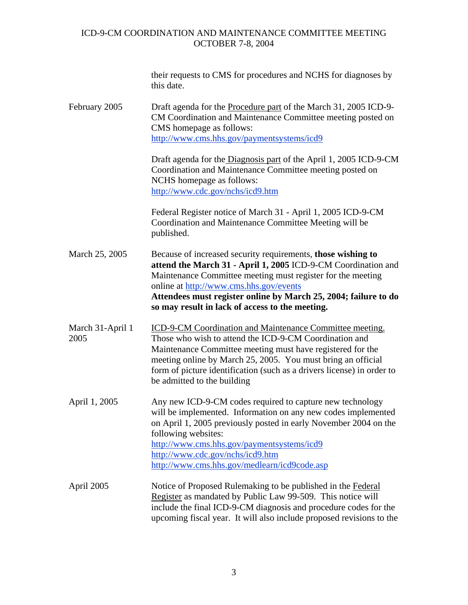|                          | their requests to CMS for procedures and NCHS for diagnoses by<br>this date.                                                                                                                                                                                                                                                                                  |
|--------------------------|---------------------------------------------------------------------------------------------------------------------------------------------------------------------------------------------------------------------------------------------------------------------------------------------------------------------------------------------------------------|
| February 2005            | Draft agenda for the Procedure part of the March 31, 2005 ICD-9-<br>CM Coordination and Maintenance Committee meeting posted on<br>CMS homepage as follows:<br>http://www.cms.hhs.gov/paymentsystems/icd9                                                                                                                                                     |
|                          | Draft agenda for the Diagnosis part of the April 1, 2005 ICD-9-CM<br>Coordination and Maintenance Committee meeting posted on<br>NCHS homepage as follows:<br>http://www.cdc.gov/nchs/icd9.htm                                                                                                                                                                |
|                          | Federal Register notice of March 31 - April 1, 2005 ICD-9-CM<br>Coordination and Maintenance Committee Meeting will be<br>published.                                                                                                                                                                                                                          |
| March 25, 2005           | Because of increased security requirements, those wishing to<br>attend the March 31 - April 1, 2005 ICD-9-CM Coordination and<br>Maintenance Committee meeting must register for the meeting<br>online at http://www.cms.hhs.gov/events<br>Attendees must register online by March 25, 2004; failure to do<br>so may result in lack of access to the meeting. |
| March 31-April 1<br>2005 | ICD-9-CM Coordination and Maintenance Committee meeting.<br>Those who wish to attend the ICD-9-CM Coordination and<br>Maintenance Committee meeting must have registered for the<br>meeting online by March 25, 2005. You must bring an official<br>form of picture identification (such as a drivers license) in order to<br>be admitted to the building     |
| April 1, 2005            | Any new ICD-9-CM codes required to capture new technology<br>will be implemented. Information on any new codes implemented<br>on April 1, 2005 previously posted in early November 2004 on the<br>following websites:<br>http://www.cms.hhs.gov/paymentsystems/icd9<br>http://www.cdc.gov/nchs/icd9.htm<br>http://www.cms.hhs.gov/medlearn/icd9code.asp       |
| April 2005               | Notice of Proposed Rulemaking to be published in the Federal<br>Register as mandated by Public Law 99-509. This notice will<br>include the final ICD-9-CM diagnosis and procedure codes for the<br>upcoming fiscal year. It will also include proposed revisions to the                                                                                       |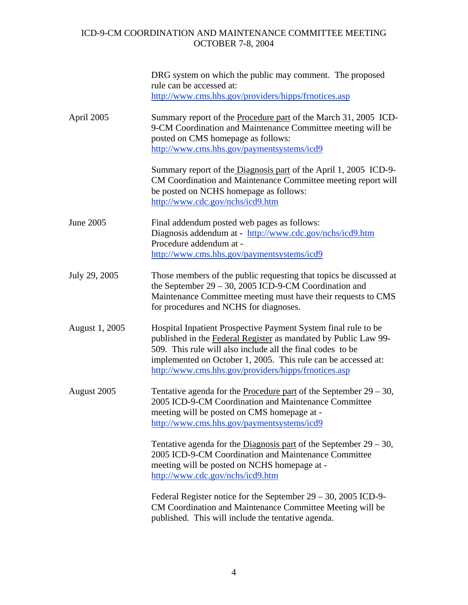|                | DRG system on which the public may comment. The proposed<br>rule can be accessed at:<br>http://www.cms.hhs.gov/providers/hipps/frnotices.asp                                                                                                                                                                             |
|----------------|--------------------------------------------------------------------------------------------------------------------------------------------------------------------------------------------------------------------------------------------------------------------------------------------------------------------------|
| April 2005     | Summary report of the <b>Procedure part</b> of the March 31, 2005 ICD-<br>9-CM Coordination and Maintenance Committee meeting will be<br>posted on CMS homepage as follows:<br>http://www.cms.hhs.gov/paymentsystems/icd9                                                                                                |
|                | Summary report of the Diagnosis part of the April 1, 2005 ICD-9-<br>CM Coordination and Maintenance Committee meeting report will<br>be posted on NCHS homepage as follows:<br>http://www.cdc.gov/nchs/icd9.htm                                                                                                          |
| June 2005      | Final addendum posted web pages as follows:<br>Diagnosis addendum at - http://www.cdc.gov/nchs/icd9.htm<br>Procedure addendum at -<br>http://www.cms.hhs.gov/paymentsystems/icd9                                                                                                                                         |
| July 29, 2005  | Those members of the public requesting that topics be discussed at<br>the September $29 - 30$ , 2005 ICD-9-CM Coordination and<br>Maintenance Committee meeting must have their requests to CMS<br>for procedures and NCHS for diagnoses.                                                                                |
| August 1, 2005 | Hospital Inpatient Prospective Payment System final rule to be<br>published in the Federal Register as mandated by Public Law 99-<br>509. This rule will also include all the final codes to be<br>implemented on October 1, 2005. This rule can be accessed at:<br>http://www.cms.hhs.gov/providers/hipps/frnotices.asp |
| August 2005    | Tentative agenda for the Procedure part of the September $29 - 30$ ,<br>2005 ICD-9-CM Coordination and Maintenance Committee<br>meeting will be posted on CMS homepage at -<br>http://www.cms.hhs.gov/paymentsystems/icd9                                                                                                |
|                | Tentative agenda for the Diagnosis part of the September $29 - 30$ ,<br>2005 ICD-9-CM Coordination and Maintenance Committee<br>meeting will be posted on NCHS homepage at -<br>http://www.cdc.gov/nchs/icd9.htm                                                                                                         |
|                | Federal Register notice for the September 29 – 30, 2005 ICD-9-<br>CM Coordination and Maintenance Committee Meeting will be<br>published. This will include the tentative agenda.                                                                                                                                        |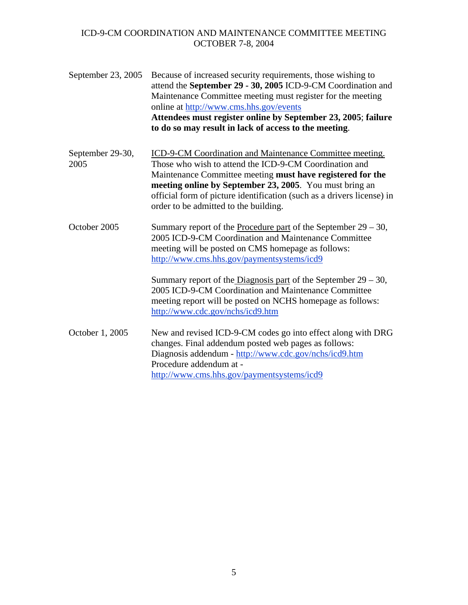| September 23, 2005       | Because of increased security requirements, those wishing to<br>attend the September 29 - 30, 2005 ICD-9-CM Coordination and<br>Maintenance Committee meeting must register for the meeting<br>online at http://www.cms.hhs.gov/events<br>Attendees must register online by September 23, 2005; failure<br>to do so may result in lack of access to the meeting. |
|--------------------------|------------------------------------------------------------------------------------------------------------------------------------------------------------------------------------------------------------------------------------------------------------------------------------------------------------------------------------------------------------------|
| September 29-30,<br>2005 | ICD-9-CM Coordination and Maintenance Committee meeting.<br>Those who wish to attend the ICD-9-CM Coordination and<br>Maintenance Committee meeting must have registered for the<br>meeting online by September 23, 2005. You must bring an<br>official form of picture identification (such as a drivers license) in<br>order to be admitted to the building.   |
| October 2005             | Summary report of the Procedure part of the September $29 - 30$ ,<br>2005 ICD-9-CM Coordination and Maintenance Committee<br>meeting will be posted on CMS homepage as follows:<br>http://www.cms.hhs.gov/paymentsystems/icd9                                                                                                                                    |
|                          | Summary report of the <i>Diagnosis</i> part of the September $29 - 30$ ,<br>2005 ICD-9-CM Coordination and Maintenance Committee<br>meeting report will be posted on NCHS homepage as follows:<br>http://www.cdc.gov/nchs/icd9.htm                                                                                                                               |
| October 1, 2005          | New and revised ICD-9-CM codes go into effect along with DRG<br>changes. Final addendum posted web pages as follows:<br>Diagnosis addendum - http://www.cdc.gov/nchs/icd9.htm<br>Procedure addendum at -<br>http://www.cms.hhs.gov/paymentsystems/icd9                                                                                                           |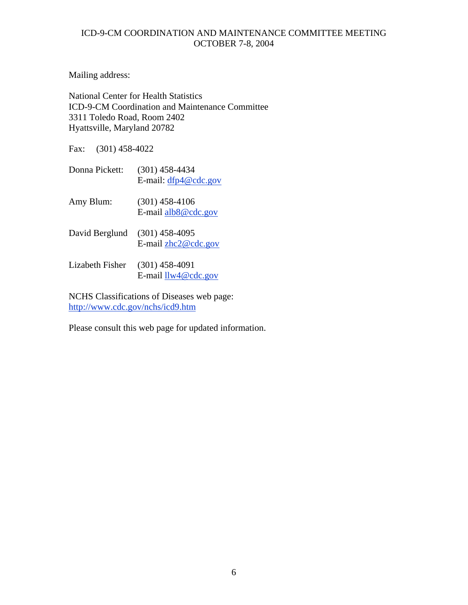Mailing address:

National Center for Health Statistics ICD-9-CM Coordination and Maintenance Committee 3311 Toledo Road, Room 2402 Hyattsville, Maryland 20782

Fax: (301) 458-4022

- Donna Pickett: (301) 458-4434 E-mail: [dfp4@cdc.gov](mailto:dfp4@cdc.gov)
- Amy Blum: (301) 458-4106 E-mail [alb8@cdc.gov](mailto:alb8@cdc.gov)
- David Berglund (301) 458-4095 E-mail [zhc2@cdc.gov](mailto:zhc2@cdc.gov)
- Lizabeth Fisher (301) 458-4091 E-mail [llw4@cdc.gov](mailto:llw4@cdc.gov)

NCHS Classifications of Diseases web page: <http://www.cdc.gov/nchs/icd9.htm>

Please consult this web page for updated information.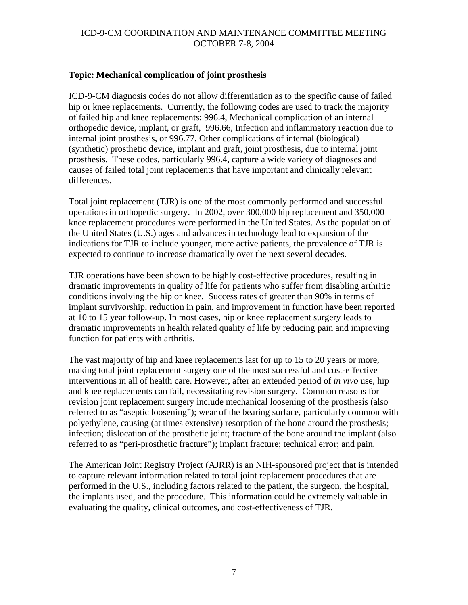### **Topic: Mechanical complication of joint prosthesis**

ICD-9-CM diagnosis codes do not allow differentiation as to the specific cause of failed hip or knee replacements. Currently, the following codes are used to track the majority of failed hip and knee replacements: 996.4, Mechanical complication of an internal orthopedic device, implant, or graft, 996.66, Infection and inflammatory reaction due to internal joint prosthesis, or 996.77, Other complications of internal (biological) (synthetic) prosthetic device, implant and graft, joint prosthesis, due to internal joint prosthesis. These codes, particularly 996.4, capture a wide variety of diagnoses and causes of failed total joint replacements that have important and clinically relevant differences.

Total joint replacement (TJR) is one of the most commonly performed and successful operations in orthopedic surgery. In 2002, over 300,000 hip replacement and 350,000 knee replacement procedures were performed in the United States. As the population of the United States (U.S.) ages and advances in technology lead to expansion of the indications for TJR to include younger, more active patients, the prevalence of TJR is expected to continue to increase dramatically over the next several decades.

TJR operations have been shown to be highly cost-effective procedures, resulting in dramatic improvements in quality of life for patients who suffer from disabling arthritic conditions involving the hip or knee. Success rates of greater than 90% in terms of implant survivorship, reduction in pain, and improvement in function have been reported at 10 to 15 year follow-up. In most cases, hip or knee replacement surgery leads to dramatic improvements in health related quality of life by reducing pain and improving function for patients with arthritis.

The vast majority of hip and knee replacements last for up to 15 to 20 years or more, making total joint replacement surgery one of the most successful and cost-effective interventions in all of health care. However, after an extended period of *in vivo* use, hip and knee replacements can fail, necessitating revision surgery. Common reasons for revision joint replacement surgery include mechanical loosening of the prosthesis (also referred to as "aseptic loosening"); wear of the bearing surface, particularly common with polyethylene, causing (at times extensive) resorption of the bone around the prosthesis; infection; dislocation of the prosthetic joint; fracture of the bone around the implant (also referred to as "peri-prosthetic fracture"); implant fracture; technical error; and pain.

The American Joint Registry Project (AJRR) is an NIH-sponsored project that is intended to capture relevant information related to total joint replacement procedures that are performed in the U.S., including factors related to the patient, the surgeon, the hospital, the implants used, and the procedure. This information could be extremely valuable in evaluating the quality, clinical outcomes, and cost-effectiveness of TJR.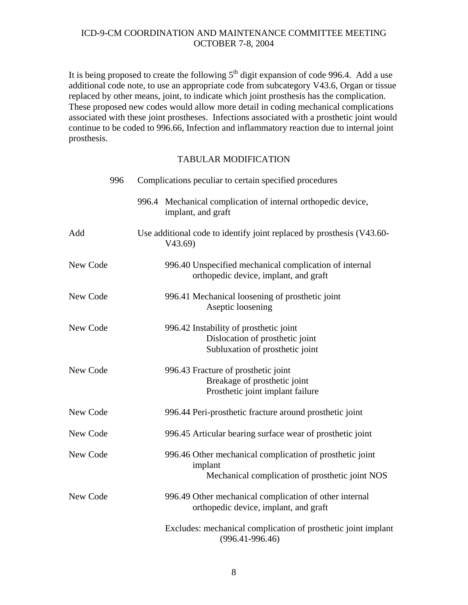It is being proposed to create the following  $5<sup>th</sup>$  digit expansion of code 996.4. Add a use additional code note, to use an appropriate code from subcategory V43.6, Organ or tissue replaced by other means, joint, to indicate which joint prosthesis has the complication. These proposed new codes would allow more detail in coding mechanical complications associated with these joint prostheses. Infections associated with a prosthetic joint would continue to be coded to 996.66, Infection and inflammatory reaction due to internal joint prosthesis.

|          | 996 | Complications peculiar to certain specified procedures                                                                 |
|----------|-----|------------------------------------------------------------------------------------------------------------------------|
|          |     | 996.4 Mechanical complication of internal orthopedic device,<br>implant, and graft                                     |
| Add      |     | Use additional code to identify joint replaced by prosthesis (V43.60-<br>V43.69                                        |
| New Code |     | 996.40 Unspecified mechanical complication of internal<br>orthopedic device, implant, and graft                        |
| New Code |     | 996.41 Mechanical loosening of prosthetic joint<br>Aseptic loosening                                                   |
| New Code |     | 996.42 Instability of prosthetic joint<br>Dislocation of prosthetic joint<br>Subluxation of prosthetic joint           |
| New Code |     | 996.43 Fracture of prosthetic joint<br>Breakage of prosthetic joint<br>Prosthetic joint implant failure                |
| New Code |     | 996.44 Peri-prosthetic fracture around prosthetic joint                                                                |
| New Code |     | 996.45 Articular bearing surface wear of prosthetic joint                                                              |
| New Code |     | 996.46 Other mechanical complication of prosthetic joint<br>implant<br>Mechanical complication of prosthetic joint NOS |
| New Code |     | 996.49 Other mechanical complication of other internal<br>orthopedic device, implant, and graft                        |
|          |     | Excludes: mechanical complication of prosthetic joint implant<br>$(996.41 - 996.46)$                                   |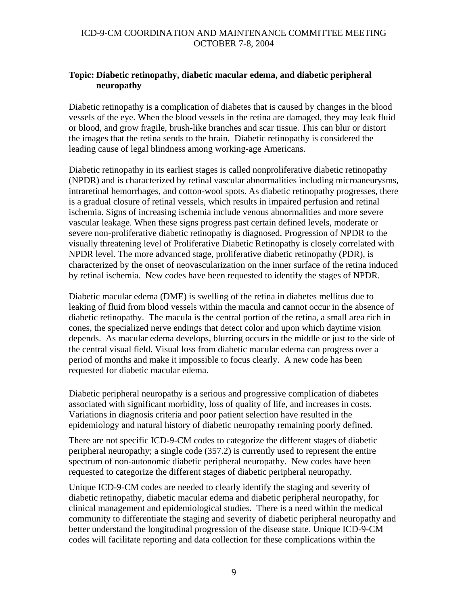### **Topic: Diabetic retinopathy, diabetic macular edema, and diabetic peripheral neuropathy**

Diabetic retinopathy is a complication of diabetes that is caused by changes in the blood vessels of the eye. When the blood vessels in the retina are damaged, they may leak fluid or blood, and grow fragile, brush-like branches and scar tissue. This can blur or distort the images that the retina sends to the brain. Diabetic retinopathy is considered the leading cause of legal blindness among working-age Americans.

Diabetic retinopathy in its earliest stages is called nonproliferative diabetic retinopathy (NPDR) and is characterized by retinal vascular abnormalities including microaneurysms, intraretinal hemorrhages, and cotton-wool spots. As diabetic retinopathy progresses, there is a gradual closure of retinal vessels, which results in impaired perfusion and retinal ischemia. Signs of increasing ischemia include venous abnormalities and more severe vascular leakage. When these signs progress past certain defined levels, moderate or severe non-proliferative diabetic retinopathy is diagnosed. Progression of NPDR to the visually threatening level of Proliferative Diabetic Retinopathy is closely correlated with NPDR level. The more advanced stage, proliferative diabetic retinopathy (PDR), is characterized by the onset of neovascularization on the inner surface of the retina induced by retinal ischemia. New codes have been requested to identify the stages of NPDR.

Diabetic macular edema (DME) is swelling of the retina in diabetes mellitus due to leaking of fluid from blood vessels within the macula and cannot occur in the absence of diabetic retinopathy. The macula is the central portion of the retina, a small area rich in cones, the specialized nerve endings that detect color and upon which daytime vision depends. As macular edema develops, blurring occurs in the middle or just to the side of the central visual field. Visual loss from diabetic macular edema can progress over a period of months and make it impossible to focus clearly. A new code has been requested for diabetic macular edema.

Diabetic peripheral neuropathy is a serious and progressive complication of diabetes associated with significant morbidity, loss of quality of life, and increases in costs. Variations in diagnosis criteria and poor patient selection have resulted in the epidemiology and natural history of diabetic neuropathy remaining poorly defined.

There are not specific ICD-9-CM codes to categorize the different stages of diabetic peripheral neuropathy; a single code (357.2) is currently used to represent the entire spectrum of non-autonomic diabetic peripheral neuropathy. New codes have been requested to categorize the different stages of diabetic peripheral neuropathy.

Unique ICD-9-CM codes are needed to clearly identify the staging and severity of diabetic retinopathy, diabetic macular edema and diabetic peripheral neuropathy, for clinical management and epidemiological studies. There is a need within the medical community to differentiate the staging and severity of diabetic peripheral neuropathy and better understand the longitudinal progression of the disease state. Unique ICD-9-CM codes will facilitate reporting and data collection for these complications within the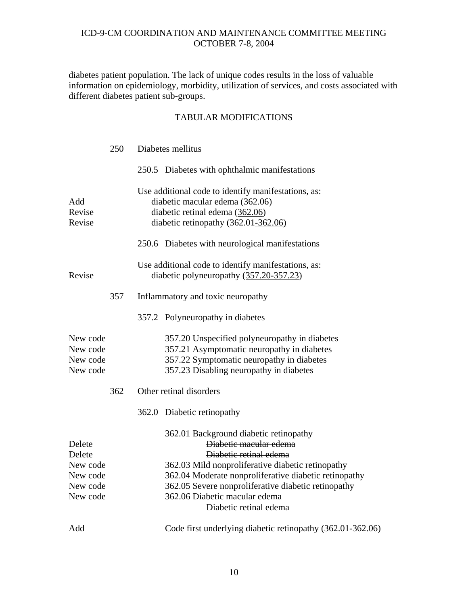diabetes patient population. The lack of unique codes results in the loss of valuable information on epidemiology, morbidity, utilization of services, and costs associated with different diabetes patient sub-groups.

|                                                                  | 250 | Diabetes mellitus                                                                                                                                                                                                                                                                                                          |
|------------------------------------------------------------------|-----|----------------------------------------------------------------------------------------------------------------------------------------------------------------------------------------------------------------------------------------------------------------------------------------------------------------------------|
|                                                                  |     | 250.5 Diabetes with ophthalmic manifestations                                                                                                                                                                                                                                                                              |
| Add<br>Revise<br>Revise                                          |     | Use additional code to identify manifestations, as:<br>diabetic macular edema (362.06)<br>diabetic retinal edema (362.06)<br>diabetic retinopathy (362.01-362.06)<br>250.6 Diabetes with neurological manifestations                                                                                                       |
| Revise                                                           |     | Use additional code to identify manifestations, as:<br>diabetic polyneuropathy (357.20-357.23)                                                                                                                                                                                                                             |
|                                                                  | 357 | Inflammatory and toxic neuropathy                                                                                                                                                                                                                                                                                          |
|                                                                  |     | 357.2 Polyneuropathy in diabetes                                                                                                                                                                                                                                                                                           |
| New code<br>New code<br>New code<br>New code                     |     | 357.20 Unspecified polyneuropathy in diabetes<br>357.21 Asymptomatic neuropathy in diabetes<br>357.22 Symptomatic neuropathy in diabetes<br>357.23 Disabling neuropathy in diabetes                                                                                                                                        |
|                                                                  | 362 | Other retinal disorders                                                                                                                                                                                                                                                                                                    |
|                                                                  |     | 362.0 Diabetic retinopathy                                                                                                                                                                                                                                                                                                 |
| Delete<br>Delete<br>New code<br>New code<br>New code<br>New code |     | 362.01 Background diabetic retinopathy<br>Diabetic macular edema<br>Diabetic retinal edema<br>362.03 Mild nonproliferative diabetic retinopathy<br>362.04 Moderate nonproliferative diabetic retinopathy<br>362.05 Severe nonproliferative diabetic retinopathy<br>362.06 Diabetic macular edema<br>Diabetic retinal edema |
| Add                                                              |     | Code first underlying diabetic retinopathy (362.01-362.06)                                                                                                                                                                                                                                                                 |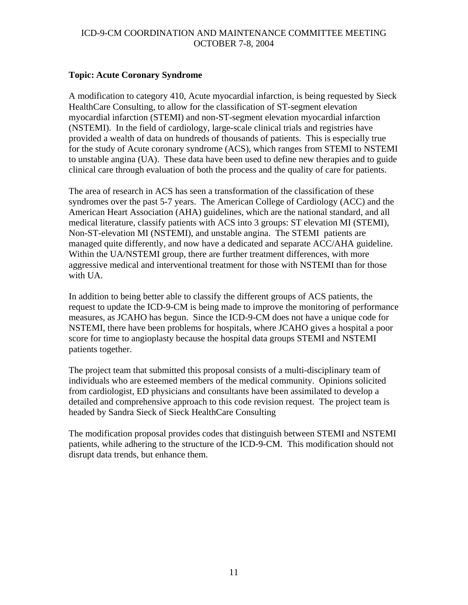### **Topic: Acute Coronary Syndrome**

A modification to category 410, Acute myocardial infarction, is being requested by Sieck HealthCare Consulting, to allow for the classification of ST-segment elevation myocardial infarction (STEMI) and non-ST-segment elevation myocardial infarction (NSTEMI). In the field of cardiology, large-scale clinical trials and registries have provided a wealth of data on hundreds of thousands of patients. This is especially true for the study of Acute coronary syndrome (ACS), which ranges from STEMI to NSTEMI to unstable angina (UA). These data have been used to define new therapies and to guide clinical care through evaluation of both the process and the quality of care for patients.

The area of research in ACS has seen a transformation of the classification of these syndromes over the past 5-7 years. The American College of Cardiology (ACC) and the American Heart Association (AHA) guidelines, which are the national standard, and all medical literature, classify patients with ACS into 3 groups: ST elevation MI (STEMI), Non-ST-elevation MI (NSTEMI), and unstable angina. The STEMI patients are managed quite differently, and now have a dedicated and separate ACC/AHA guideline. Within the UA/NSTEMI group, there are further treatment differences, with more aggressive medical and interventional treatment for those with NSTEMI than for those with UA.

In addition to being better able to classify the different groups of ACS patients, the request to update the ICD-9-CM is being made to improve the monitoring of performance measures, as JCAHO has begun. Since the ICD-9-CM does not have a unique code for NSTEMI, there have been problems for hospitals, where JCAHO gives a hospital a poor score for time to angioplasty because the hospital data groups STEMI and NSTEMI patients together.

The project team that submitted this proposal consists of a multi-disciplinary team of individuals who are esteemed members of the medical community. Opinions solicited from cardiologist, ED physicians and consultants have been assimilated to develop a detailed and comprehensive approach to this code revision request. The project team is headed by Sandra Sieck of Sieck HealthCare Consulting

The modification proposal provides codes that distinguish between STEMI and NSTEMI patients, while adhering to the structure of the ICD-9-CM. This modification should not disrupt data trends, but enhance them.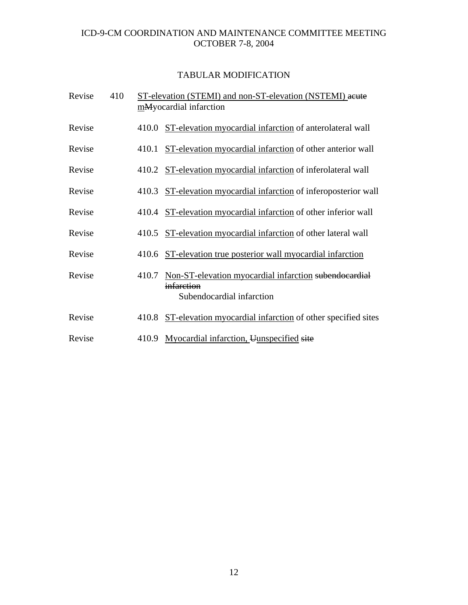| Revise | 410 |       | ST-elevation (STEMI) and non-ST-elevation (NSTEMI) acute<br>mMyocardial infarction               |
|--------|-----|-------|--------------------------------------------------------------------------------------------------|
| Revise |     |       | 410.0 ST-elevation myocardial infarction of anterolateral wall                                   |
| Revise |     | 410.1 | ST-elevation myocardial infarction of other anterior wall                                        |
| Revise |     |       | 410.2 ST-elevation myocardial infarction of inferolateral wall                                   |
| Revise |     |       | 410.3 ST-elevation myocardial infarction of inferoposterior wall                                 |
| Revise |     |       | 410.4 ST-elevation myocardial infarction of other inferior wall                                  |
| Revise |     |       | 410.5 ST-elevation myocardial infarction of other lateral wall                                   |
| Revise |     |       | 410.6 ST-elevation true posterior wall myocardial infarction                                     |
| Revise |     | 410.7 | Non-ST-elevation myocardial infarction subendocardial<br>infarction<br>Subendocardial infarction |
| Revise |     |       | 410.8 ST-elevation myocardial infarction of other specified sites                                |
| Revise |     |       | 410.9 Myocardial infarction, Uunspecified site                                                   |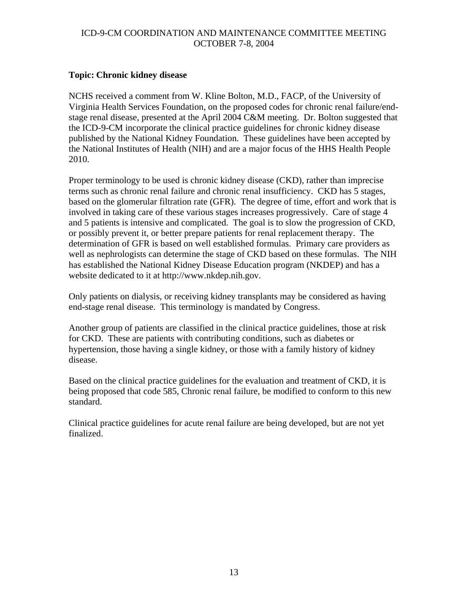### **Topic: Chronic kidney disease**

NCHS received a comment from W. Kline Bolton, M.D., FACP, of the University of Virginia Health Services Foundation, on the proposed codes for chronic renal failure/endstage renal disease, presented at the April 2004 C&M meeting. Dr. Bolton suggested that the ICD-9-CM incorporate the clinical practice guidelines for chronic kidney disease published by the National Kidney Foundation. These guidelines have been accepted by the National Institutes of Health (NIH) and are a major focus of the HHS Health People 2010.

Proper terminology to be used is chronic kidney disease (CKD), rather than imprecise terms such as chronic renal failure and chronic renal insufficiency. CKD has 5 stages, based on the glomerular filtration rate (GFR). The degree of time, effort and work that is involved in taking care of these various stages increases progressively. Care of stage 4 and 5 patients is intensive and complicated. The goal is to slow the progression of CKD, or possibly prevent it, or better prepare patients for renal replacement therapy. The determination of GFR is based on well established formulas. Primary care providers as well as nephrologists can determine the stage of CKD based on these formulas. The NIH has established the National Kidney Disease Education program (NKDEP) and has a website dedicated to it at http://www.nkdep.nih.gov.

Only patients on dialysis, or receiving kidney transplants may be considered as having end-stage renal disease. This terminology is mandated by Congress.

Another group of patients are classified in the clinical practice guidelines, those at risk for CKD. These are patients with contributing conditions, such as diabetes or hypertension, those having a single kidney, or those with a family history of kidney disease.

Based on the clinical practice guidelines for the evaluation and treatment of CKD, it is being proposed that code 585, Chronic renal failure, be modified to conform to this new standard.

Clinical practice guidelines for acute renal failure are being developed, but are not yet finalized.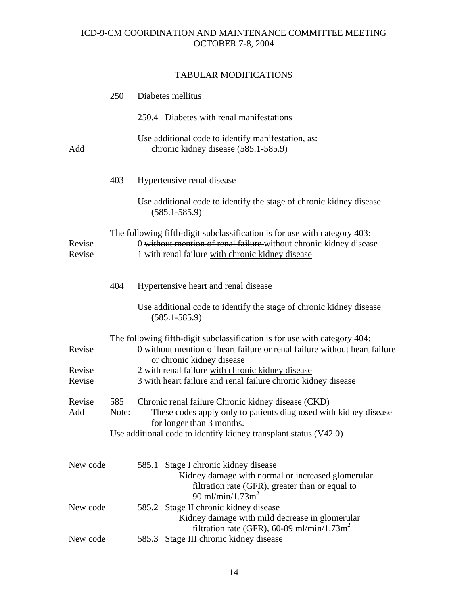|                  | 250          | Diabetes mellitus                                                                                                                                                                                                       |  |
|------------------|--------------|-------------------------------------------------------------------------------------------------------------------------------------------------------------------------------------------------------------------------|--|
|                  |              | 250.4 Diabetes with renal manifestations                                                                                                                                                                                |  |
| Add              |              | Use additional code to identify manifestation, as:<br>chronic kidney disease (585.1-585.9)                                                                                                                              |  |
|                  | 403          | Hypertensive renal disease                                                                                                                                                                                              |  |
|                  |              | Use additional code to identify the stage of chronic kidney disease<br>$(585.1 - 585.9)$                                                                                                                                |  |
| Revise<br>Revise |              | The following fifth-digit subclassification is for use with category 403:<br>0 without mention of renal failure-without chronic kidney disease<br>1 with renal failure with chronic kidney disease                      |  |
|                  | 404          | Hypertensive heart and renal disease                                                                                                                                                                                    |  |
|                  |              | Use additional code to identify the stage of chronic kidney disease<br>$(585.1 - 585.9)$                                                                                                                                |  |
| Revise           |              | The following fifth-digit subclassification is for use with category 404:<br>0 without mention of heart failure or renal failure without heart failure<br>or chronic kidney disease                                     |  |
| Revise<br>Revise |              | 2 with renal failure with chronic kidney disease<br>3 with heart failure and renal failure chronic kidney disease                                                                                                       |  |
| Revise<br>Add    | 585<br>Note: | Chronic renal failure Chronic kidney disease (CKD)<br>These codes apply only to patients diagnosed with kidney disease<br>for longer than 3 months.<br>Use additional code to identify kidney transplant status (V42.0) |  |
| New code         |              | 585.1 Stage I chronic kidney disease<br>Kidney damage with normal or increased glomerular<br>filtration rate (GFR), greater than or equal to<br>90 ml/min/1.73m <sup>2</sup>                                            |  |
| New code         |              | 585.2 Stage II chronic kidney disease<br>Kidney damage with mild decrease in glomerular                                                                                                                                 |  |
| New code         |              | filtration rate (GFR), 60-89 ml/min/1.73m <sup>2</sup><br>Stage III chronic kidney disease<br>585.3                                                                                                                     |  |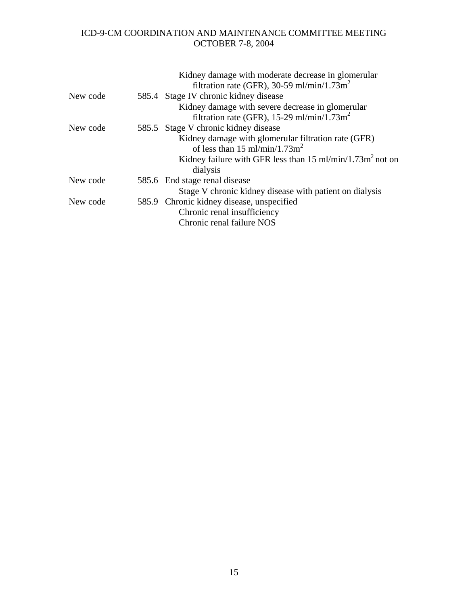|          | Kidney damage with moderate decrease in glomerular<br>filtration rate (GFR), 30-59 ml/min/1.73m <sup>2</sup> |
|----------|--------------------------------------------------------------------------------------------------------------|
| New code | 585.4 Stage IV chronic kidney disease                                                                        |
|          | Kidney damage with severe decrease in glomerular                                                             |
|          | filtration rate (GFR), 15-29 ml/min/1.73m <sup>2</sup>                                                       |
| New code | 585.5 Stage V chronic kidney disease                                                                         |
|          | Kidney damage with glomerular filtration rate (GFR)                                                          |
|          | of less than 15 ml/min/1.73 $m2$                                                                             |
|          | Kidney failure with GFR less than $15 \text{ ml/min}/1.73 \text{ m}^2$ not on                                |
|          | dialysis                                                                                                     |
| New code | 585.6 End stage renal disease                                                                                |
|          | Stage V chronic kidney disease with patient on dialysis                                                      |
| New code | 585.9 Chronic kidney disease, unspecified                                                                    |
|          | Chronic renal insufficiency                                                                                  |
|          | Chronic renal failure NOS                                                                                    |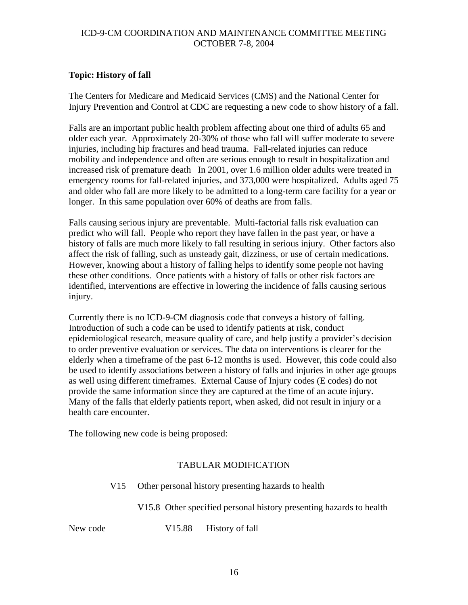## **Topic: History of fall**

The Centers for Medicare and Medicaid Services (CMS) and the National Center for Injury Prevention and Control at CDC are requesting a new code to show history of a fall.

Falls are an important public health problem affecting about one third of adults 65 and older each year. Approximately 20-30% of those who fall will suffer moderate to severe injuries, including hip fractures and head trauma. Fall-related injuries can reduce mobility and independence and often are serious enough to result in hospitalization and increased risk of premature death In 2001, over 1.6 million older adults were treated in emergency rooms for fall-related injuries, and 373,000 were hospitalized. Adults aged 75 and older who fall are more likely to be admitted to a long-term care facility for a year or longer. In this same population over 60% of deaths are from falls.

Falls causing serious injury are preventable. Multi-factorial falls risk evaluation can predict who will fall. People who report they have fallen in the past year, or have a history of falls are much more likely to fall resulting in serious injury. Other factors also affect the risk of falling, such as unsteady gait, dizziness, or use of certain medications. However, knowing about a history of falling helps to identify some people not having these other conditions. Once patients with a history of falls or other risk factors are identified, interventions are effective in lowering the incidence of falls causing serious injury.

Currently there is no ICD-9-CM diagnosis code that conveys a history of falling. Introduction of such a code can be used to identify patients at risk, conduct epidemiological research, measure quality of care, and help justify a provider's decision to order preventive evaluation or services. The data on interventions is clearer for the elderly when a timeframe of the past 6-12 months is used. However, this code could also be used to identify associations between a history of falls and injuries in other age groups as well using different timeframes. External Cause of Injury codes (E codes) do not provide the same information since they are captured at the time of an acute injury. Many of the falls that elderly patients report, when asked, did not result in injury or a health care encounter.

The following new code is being proposed:

## TABULAR MODIFICATION

V15 Other personal history presenting hazards to health

V15.8 Other specified personal history presenting hazards to health

New code V15.88 History of fall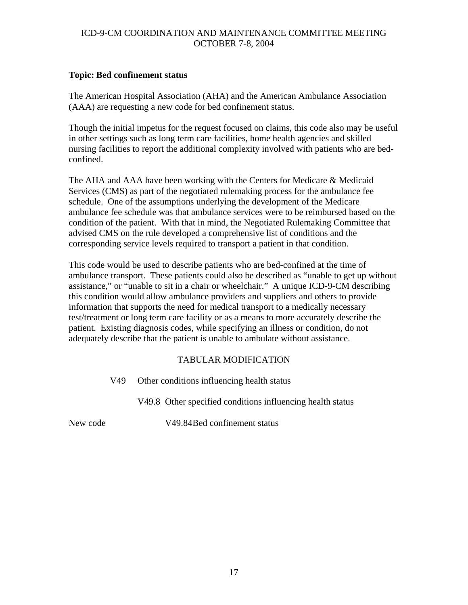### **Topic: Bed confinement status**

The American Hospital Association (AHA) and the American Ambulance Association (AAA) are requesting a new code for bed confinement status.

Though the initial impetus for the request focused on claims, this code also may be useful in other settings such as long term care facilities, home health agencies and skilled nursing facilities to report the additional complexity involved with patients who are bedconfined.

The AHA and AAA have been working with the Centers for Medicare & Medicaid Services (CMS) as part of the negotiated rulemaking process for the ambulance fee schedule. One of the assumptions underlying the development of the Medicare ambulance fee schedule was that ambulance services were to be reimbursed based on the condition of the patient. With that in mind, the Negotiated Rulemaking Committee that advised CMS on the rule developed a comprehensive list of conditions and the corresponding service levels required to transport a patient in that condition.

This code would be used to describe patients who are bed-confined at the time of ambulance transport. These patients could also be described as "unable to get up without assistance," or "unable to sit in a chair or wheelchair." A unique ICD-9-CM describing this condition would allow ambulance providers and suppliers and others to provide information that supports the need for medical transport to a medically necessary test/treatment or long term care facility or as a means to more accurately describe the patient. Existing diagnosis codes, while specifying an illness or condition, do not adequately describe that the patient is unable to ambulate without assistance.

## TABULAR MODIFICATION

V49 Other conditions influencing health status

V49.8 Other specified conditions influencing health status

New code V49.84 Bed confinement status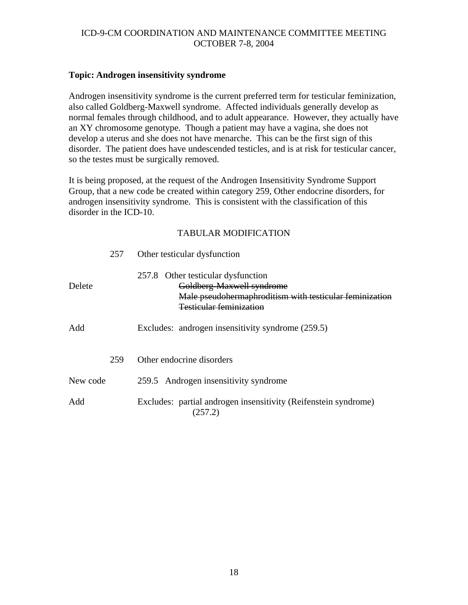### **Topic: Androgen insensitivity syndrome**

Androgen insensitivity syndrome is the current preferred term for testicular feminization, also called Goldberg-Maxwell syndrome. Affected individuals generally develop as normal females through childhood, and to adult appearance. However, they actually have an XY chromosome genotype. Though a patient may have a vagina, she does not develop a uterus and she does not have menarche. This can be the first sign of this disorder. The patient does have undescended testicles, and is at risk for testicular cancer, so the testes must be surgically removed.

It is being proposed, at the request of the Androgen Insensitivity Syndrome Support Group, that a new code be created within category 259, Other endocrine disorders, for androgen insensitivity syndrome. This is consistent with the classification of this disorder in the ICD-10.

|          | 257 | Other testicular dysfunction                                                                                                                                 |
|----------|-----|--------------------------------------------------------------------------------------------------------------------------------------------------------------|
| Delete   |     | 257.8 Other testicular dysfunction<br>Goldberg-Maxwell syndrome<br>Male pseudohermaphroditism with testicular feminization<br><b>Testicular feminization</b> |
| Add      |     | Excludes: androgen insensitivity syndrome (259.5)                                                                                                            |
|          | 259 | Other endocrine disorders                                                                                                                                    |
| New code |     | 259.5 Androgen insensitivity syndrome                                                                                                                        |
| Add      |     | Excludes: partial androgen insensitivity (Reifenstein syndrome)<br>(257.2)                                                                                   |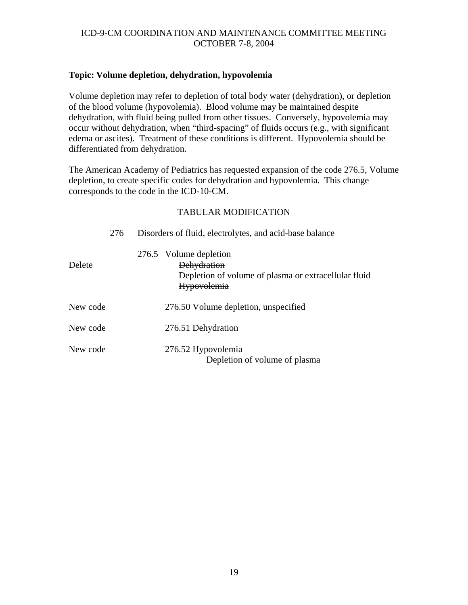### **Topic: Volume depletion, dehydration, hypovolemia**

Volume depletion may refer to depletion of total body water (dehydration), or depletion of the blood volume (hypovolemia). Blood volume may be maintained despite dehydration, with fluid being pulled from other tissues. Conversely, hypovolemia may occur without dehydration, when "third-spacing" of fluids occurs (e.g., with significant edema or ascites). Treatment of these conditions is different. Hypovolemia should be differentiated from dehydration.

The American Academy of Pediatrics has requested expansion of the code 276.5, Volume depletion, to create specific codes for dehydration and hypovolemia. This change corresponds to the code in the ICD-10-CM.

| 276      | Disorders of fluid, electrolytes, and acid-base balance                                                                    |
|----------|----------------------------------------------------------------------------------------------------------------------------|
| Delete   | 276.5 Volume depletion<br><b>Dehydration</b><br>Depletion of volume of plasma or extracellular fluid<br><b>Hypovolemia</b> |
| New code | 276.50 Volume depletion, unspecified                                                                                       |
| New code | 276.51 Dehydration                                                                                                         |
| New code | 276.52 Hypovolemia<br>Depletion of volume of plasma                                                                        |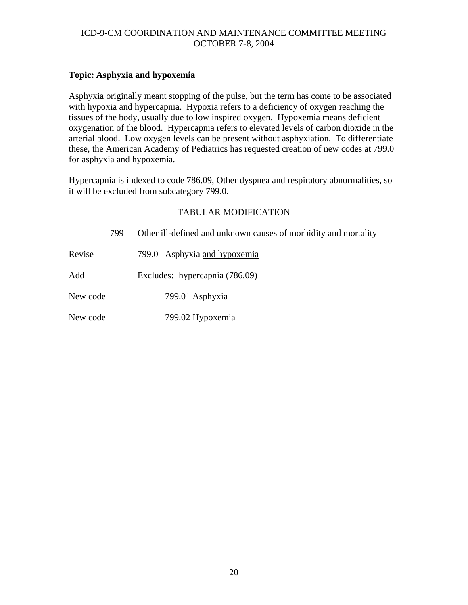## **Topic: Asphyxia and hypoxemia**

Asphyxia originally meant stopping of the pulse, but the term has come to be associated with hypoxia and hypercapnia. Hypoxia refers to a deficiency of oxygen reaching the tissues of the body, usually due to low inspired oxygen. Hypoxemia means deficient oxygenation of the blood. Hypercapnia refers to elevated levels of carbon dioxide in the arterial blood. Low oxygen levels can be present without asphyxiation. To differentiate these, the American Academy of Pediatrics has requested creation of new codes at 799.0 for asphyxia and hypoxemia.

Hypercapnia is indexed to code 786.09, Other dyspnea and respiratory abnormalities, so it will be excluded from subcategory 799.0.

|          | 799 | Other ill-defined and unknown causes of morbidity and mortality |
|----------|-----|-----------------------------------------------------------------|
| Revise   |     | 799.0 Asphyxia and hypoxemia                                    |
| Add      |     | Excludes: hypercapnia (786.09)                                  |
| New code |     | 799.01 Asphyxia                                                 |
| New code |     | 799.02 Hypoxemia                                                |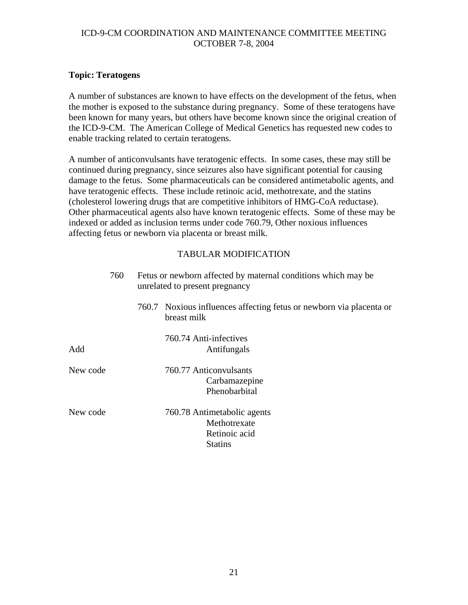### **Topic: Teratogens**

A number of substances are known to have effects on the development of the fetus, when the mother is exposed to the substance during pregnancy. Some of these teratogens have been known for many years, but others have become known since the original creation of the ICD-9-CM. The American College of Medical Genetics has requested new codes to enable tracking related to certain teratogens.

A number of anticonvulsants have teratogenic effects. In some cases, these may still be continued during pregnancy, since seizures also have significant potential for causing damage to the fetus. Some pharmaceuticals can be considered antimetabolic agents, and have teratogenic effects. These include retinoic acid, methotrexate, and the statins (cholesterol lowering drugs that are competitive inhibitors of HMG-CoA reductase). Other pharmaceutical agents also have known teratogenic effects. Some of these may be indexed or added as inclusion terms under code 760.79, Other noxious influences affecting fetus or newborn via placenta or breast milk.

|          | 760 | Fetus or newborn affected by maternal conditions which may be<br>unrelated to present pregnancy |                                                                                    |  |  |
|----------|-----|-------------------------------------------------------------------------------------------------|------------------------------------------------------------------------------------|--|--|
|          |     |                                                                                                 | 760.7 Noxious influences affecting fetus or newborn via placenta or<br>breast milk |  |  |
| Add      |     |                                                                                                 | 760.74 Anti-infectives<br>Antifungals                                              |  |  |
| New code |     |                                                                                                 | 760.77 Anticonvulsants<br>Carbamazepine<br>Phenobarbital                           |  |  |
| New code |     |                                                                                                 | 760.78 Antimetabolic agents<br>Methotrexate<br>Retinoic acid<br><b>Statins</b>     |  |  |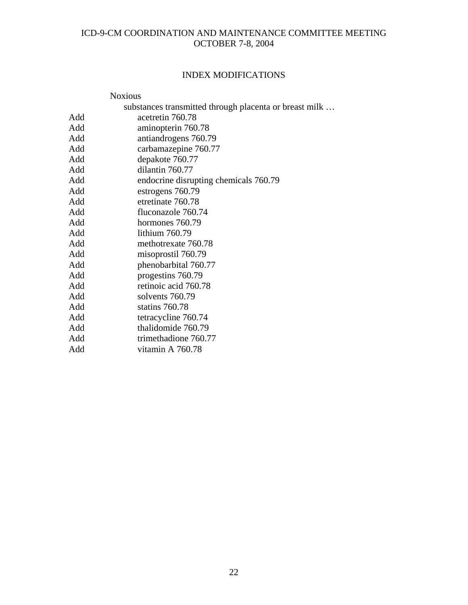# INDEX MODIFICATIONS

|     | <b>Noxious</b>                                         |
|-----|--------------------------------------------------------|
|     | substances transmitted through placenta or breast milk |
| Add | acetretin 760.78                                       |
| Add | aminopterin 760.78                                     |
| Add | antiandrogens 760.79                                   |
| Add | carbamazepine 760.77                                   |
| Add | depakote 760.77                                        |
| Add | dilantin 760.77                                        |
| Add | endocrine disrupting chemicals 760.79                  |
| Add | estrogens 760.79                                       |
| Add | etretinate 760.78                                      |
| Add | fluconazole 760.74                                     |
| Add | hormones 760.79                                        |
| Add | lithium 760.79                                         |
| Add | methotrexate 760.78                                    |
| Add | misoprostil 760.79                                     |
| Add | phenobarbital 760.77                                   |
| Add | progestins 760.79                                      |
| Add | retinoic acid 760.78                                   |
| Add | solvents 760.79                                        |
| Add | statins 760.78                                         |
| Add | tetracycline 760.74                                    |
| Add | thalidomide 760.79                                     |
| Add | trimethadione 760.77                                   |
| Add | vitamin A 760.78                                       |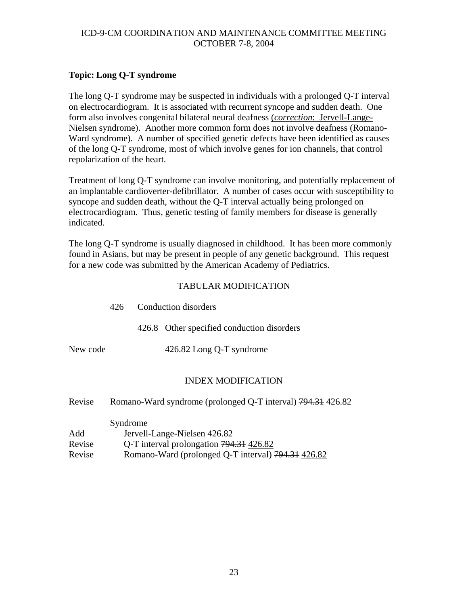## **Topic: Long Q-T syndrome**

The long Q-T syndrome may be suspected in individuals with a prolonged Q-T interval on electrocardiogram. It is associated with recurrent syncope and sudden death. One form also involves congenital bilateral neural deafness (*correction*: Jervell-Lange-Nielsen syndrome). Another more common form does not involve deafness (Romano-Ward syndrome). A number of specified genetic defects have been identified as causes of the long Q-T syndrome, most of which involve genes for ion channels, that control repolarization of the heart.

Treatment of long Q-T syndrome can involve monitoring, and potentially replacement of an implantable cardioverter-defibrillator. A number of cases occur with susceptibility to syncope and sudden death, without the Q-T interval actually being prolonged on electrocardiogram. Thus, genetic testing of family members for disease is generally indicated.

The long Q-T syndrome is usually diagnosed in childhood. It has been more commonly found in Asians, but may be present in people of any genetic background. This request for a new code was submitted by the American Academy of Pediatrics.

### TABULAR MODIFICATION

|          | 426 Conduction disorders |                                            |
|----------|--------------------------|--------------------------------------------|
|          |                          | 426.8 Other specified conduction disorders |
| New code |                          | 426.82 Long Q-T syndrome                   |
|          |                          |                                            |

### INDEX MODIFICATION

| Revise |  | Romano-Ward syndrome (prolonged Q-T interval) 794.31 426.82 |  |
|--------|--|-------------------------------------------------------------|--|
|--------|--|-------------------------------------------------------------|--|

|        | Syndrome                                           |
|--------|----------------------------------------------------|
| Add    | Jervell-Lange-Nielsen 426.82                       |
| Revise | Q-T interval prolongation 794.31 426.82            |
| Revise | Romano-Ward (prolonged Q-T interval) 794.31 426.82 |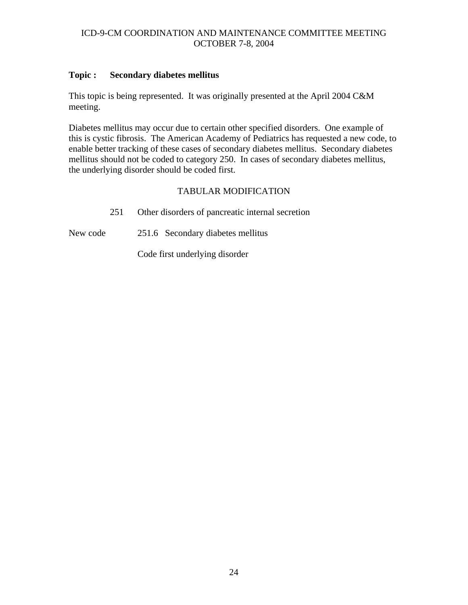### **Topic : Secondary diabetes mellitus**

This topic is being represented. It was originally presented at the April 2004 C&M meeting.

Diabetes mellitus may occur due to certain other specified disorders. One example of this is cystic fibrosis. The American Academy of Pediatrics has requested a new code, to enable better tracking of these cases of secondary diabetes mellitus. Secondary diabetes mellitus should not be coded to category 250. In cases of secondary diabetes mellitus, the underlying disorder should be coded first.

# TABULAR MODIFICATION

251 Other disorders of pancreatic internal secretion

New code 251.6 Secondary diabetes mellitus

Code first underlying disorder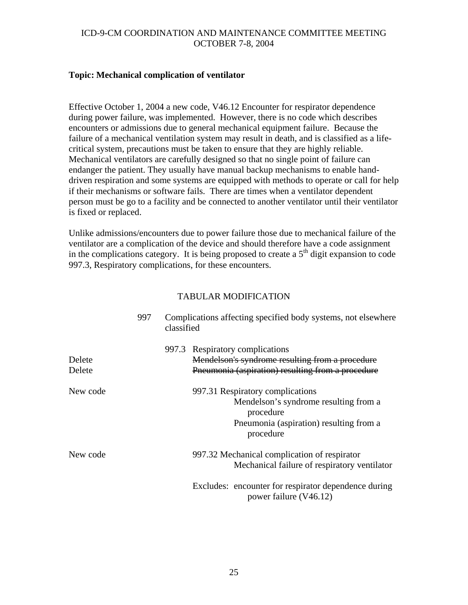#### **Topic: Mechanical complication of ventilator**

Effective October 1, 2004 a new code, V46.12 Encounter for respirator dependence during power failure, was implemented. However, there is no code which describes encounters or admissions due to general mechanical equipment failure. Because the failure of a mechanical ventilation system may result in death, and is classified as a lifecritical system, precautions must be taken to ensure that they are highly reliable. Mechanical ventilators are carefully designed so that no single point of failure can endanger the patient. They usually have manual backup mechanisms to enable handdriven respiration and some systems are equipped with methods to operate or call for help if their mechanisms or software fails. There are times when a ventilator dependent person must be go to a facility and be connected to another ventilator until their ventilator is fixed or replaced.

Unlike admissions/encounters due to power failure those due to mechanical failure of the ventilator are a complication of the device and should therefore have a code assignment in the complications category. It is being proposed to create a  $5<sup>th</sup>$  digit expansion to code 997.3, Respiratory complications, for these encounters.

|                  | 997 | classified | Complications affecting specified body systems, not elsewhere                                                                                  |  |
|------------------|-----|------------|------------------------------------------------------------------------------------------------------------------------------------------------|--|
| Delete<br>Delete |     |            | 997.3 Respiratory complications<br>Mendelson's syndrome resulting from a procedure<br>Pneumonia (aspiration) resulting from a procedure        |  |
| New code         |     |            | 997.31 Respiratory complications<br>Mendelson's syndrome resulting from a<br>procedure<br>Pneumonia (aspiration) resulting from a<br>procedure |  |
| New code         |     |            | 997.32 Mechanical complication of respirator<br>Mechanical failure of respiratory ventilator                                                   |  |
|                  |     |            | Excludes: encounter for respirator dependence during<br>power failure (V46.12)                                                                 |  |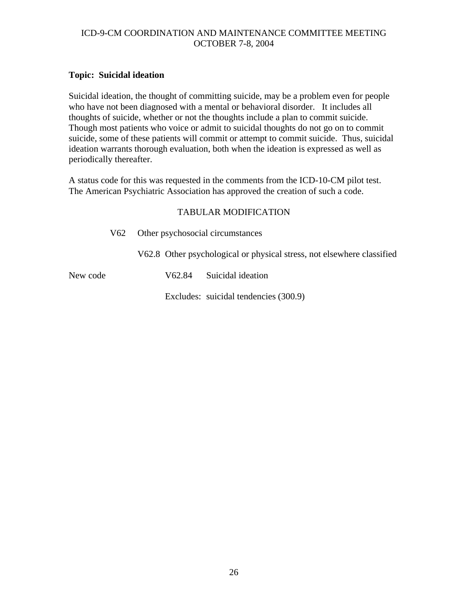## **Topic: Suicidal ideation**

Suicidal ideation, the thought of committing suicide, may be a problem even for people who have not been diagnosed with a mental or behavioral disorder. It includes all thoughts of suicide, whether or not the thoughts include a plan to commit suicide. Though most patients who voice or admit to suicidal thoughts do not go on to commit suicide, some of these patients will commit or attempt to commit suicide. Thus, suicidal ideation warrants thorough evaluation, both when the ideation is expressed as well as periodically thereafter.

A status code for this was requested in the comments from the ICD-10-CM pilot test. The American Psychiatric Association has approved the creation of such a code.

## TABULAR MODIFICATION

V62 Other psychosocial circumstances

V62.8 Other psychological or physical stress, not elsewhere classified

New code  $V62.84$  Suicidal ideation

Excludes: suicidal tendencies (300.9)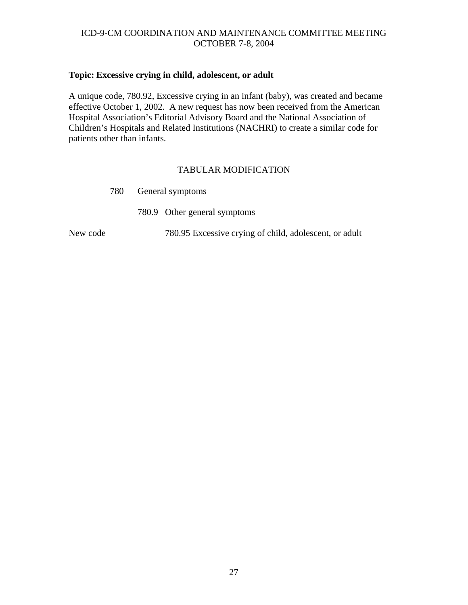# **Topic: Excessive crying in child, adolescent, or adult**

A unique code, 780.92, Excessive crying in an infant (baby), was created and became effective October 1, 2002. A new request has now been received from the American Hospital Association's Editorial Advisory Board and the National Association of Children's Hospitals and Related Institutions (NACHRI) to create a similar code for patients other than infants.

|          | 780 | General symptoms                                       |  |
|----------|-----|--------------------------------------------------------|--|
|          |     | 780.9 Other general symptoms                           |  |
| New code |     | 780.95 Excessive crying of child, adolescent, or adult |  |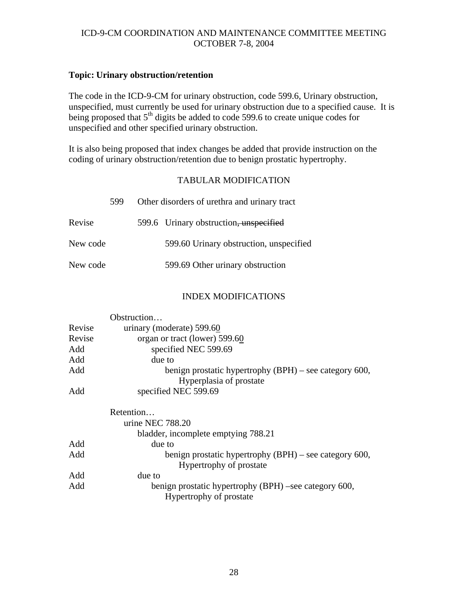### **Topic: Urinary obstruction/retention**

The code in the ICD-9-CM for urinary obstruction, code 599.6, Urinary obstruction, unspecified, must currently be used for urinary obstruction due to a specified cause. It is being proposed that  $5<sup>th</sup>$  digits be added to code 599.6 to create unique codes for unspecified and other specified urinary obstruction.

It is also being proposed that index changes be added that provide instruction on the coding of urinary obstruction/retention due to benign prostatic hypertrophy.

### TABULAR MODIFICATION

|          | 599 | Other disorders of urethra and urinary tract |
|----------|-----|----------------------------------------------|
| Revise   |     | 599.6 Urinary obstruction, unspecified       |
| New code |     | 599.60 Urinary obstruction, unspecified      |
| New code |     | 599.69 Other urinary obstruction             |

#### INDEX MODIFICATIONS

|        | Obstruction                                              |
|--------|----------------------------------------------------------|
| Revise | urinary (moderate) 599.60                                |
| Revise | organ or tract (lower) 599.60                            |
| Add    | specified NEC 599.69                                     |
| Add    | due to                                                   |
| Add    | benign prostatic hypertrophy $(BPH)$ – see category 600, |
|        | Hyperplasia of prostate                                  |
| Add    | specified NEC 599.69                                     |
|        | Retention                                                |
|        | urine NEC $788.20$                                       |
|        | bladder, incomplete emptying 788.21                      |
| Add    | due to                                                   |
| Add    | benign prostatic hypertrophy $(BPH)$ – see category 600, |
|        | Hypertrophy of prostate                                  |
| Add    | due to                                                   |
| Add    | benign prostatic hypertrophy (BPH) –see category 600,    |
|        | Hypertrophy of prostate                                  |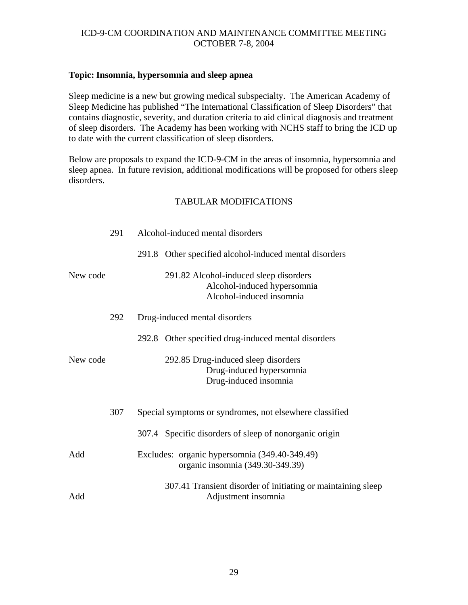### **Topic: Insomnia, hypersomnia and sleep apnea**

Sleep medicine is a new but growing medical subspecialty. The American Academy of Sleep Medicine has published "The International Classification of Sleep Disorders" that contains diagnostic, severity, and duration criteria to aid clinical diagnosis and treatment of sleep disorders. The Academy has been working with NCHS staff to bring the ICD up to date with the current classification of sleep disorders.

Below are proposals to expand the ICD-9-CM in the areas of insomnia, hypersomnia and sleep apnea. In future revision, additional modifications will be proposed for others sleep disorders.

|          | 291 | Alcohol-induced mental disorders                                                                  |
|----------|-----|---------------------------------------------------------------------------------------------------|
|          |     | 291.8 Other specified alcohol-induced mental disorders                                            |
| New code |     | 291.82 Alcohol-induced sleep disorders<br>Alcohol-induced hypersomnia<br>Alcohol-induced insomnia |
|          | 292 | Drug-induced mental disorders                                                                     |
|          |     | 292.8 Other specified drug-induced mental disorders                                               |
| New code |     | 292.85 Drug-induced sleep disorders<br>Drug-induced hypersomnia<br>Drug-induced insomnia          |
|          | 307 | Special symptoms or syndromes, not elsewhere classified                                           |
|          |     | 307.4 Specific disorders of sleep of nonorganic origin                                            |
| Add      |     | Excludes: organic hypersomnia (349.40-349.49)<br>organic insomnia (349.30-349.39)                 |
| Add      |     | 307.41 Transient disorder of initiating or maintaining sleep<br>Adjustment insomnia               |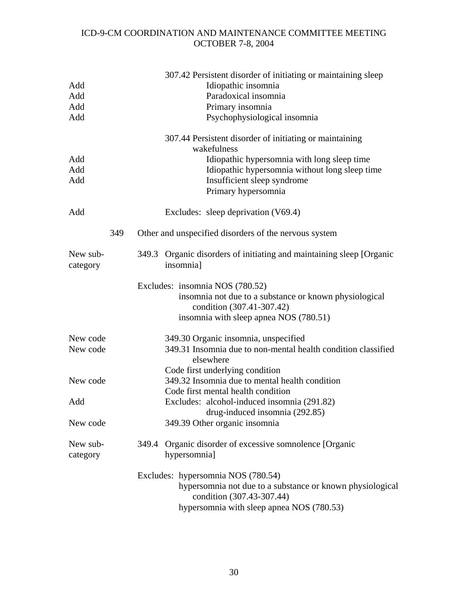|                      |     | 307.42 Persistent disorder of initiating or maintaining sleep                          |
|----------------------|-----|----------------------------------------------------------------------------------------|
| Add                  |     | Idiopathic insomnia                                                                    |
| Add                  |     | Paradoxical insomnia                                                                   |
| Add                  |     | Primary insomnia                                                                       |
| Add                  |     | Psychophysiological insomnia                                                           |
|                      |     | 307.44 Persistent disorder of initiating or maintaining<br>wakefulness                 |
| Add                  |     | Idiopathic hypersomnia with long sleep time                                            |
| Add                  |     | Idiopathic hypersomnia without long sleep time                                         |
| Add                  |     | Insufficient sleep syndrome                                                            |
|                      |     | Primary hypersomnia                                                                    |
| Add                  |     | Excludes: sleep deprivation (V69.4)                                                    |
|                      | 349 | Other and unspecified disorders of the nervous system                                  |
| New sub-<br>category |     | 349.3 Organic disorders of initiating and maintaining sleep [Organic<br>insomnia]      |
|                      |     | Excludes: insomnia NOS (780.52)                                                        |
|                      |     | insomnia not due to a substance or known physiological<br>condition (307.41-307.42)    |
|                      |     | insomnia with sleep apnea NOS (780.51)                                                 |
| New code             |     | 349.30 Organic insomnia, unspecified                                                   |
| New code             |     | 349.31 Insomnia due to non-mental health condition classified<br>elsewhere             |
|                      |     | Code first underlying condition                                                        |
| New code             |     | 349.32 Insomnia due to mental health condition                                         |
|                      |     | Code first mental health condition                                                     |
| Add                  |     | Excludes: alcohol-induced insomnia (291.82)                                            |
| New code             |     | drug-induced insomnia (292.85)<br>349.39 Other organic insomnia                        |
| New sub-             |     | Organic disorder of excessive somnolence [Organic<br>349.4                             |
| category             |     | hypersomnia]                                                                           |
|                      |     | Excludes: hypersomnia NOS (780.54)                                                     |
|                      |     | hypersomnia not due to a substance or known physiological<br>condition (307.43-307.44) |
|                      |     | hypersomnia with sleep apnea NOS (780.53)                                              |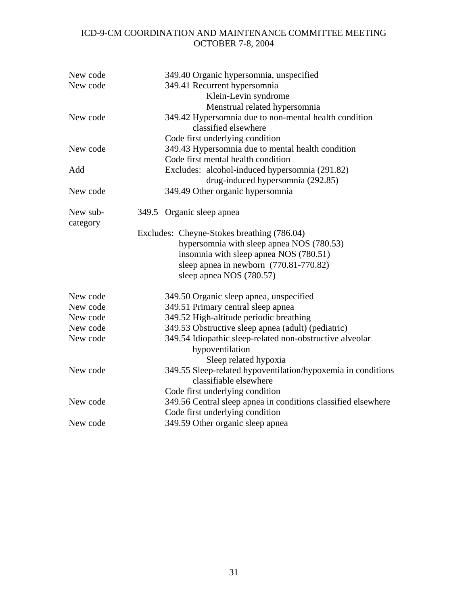| New code<br>New code | 349.40 Organic hypersomnia, unspecified<br>349.41 Recurrent hypersomnia<br>Klein-Levin syndrome<br>Menstrual related hypersomnia                                                                            |
|----------------------|-------------------------------------------------------------------------------------------------------------------------------------------------------------------------------------------------------------|
| New code             | 349.42 Hypersomnia due to non-mental health condition<br>classified elsewhere                                                                                                                               |
| New code             | Code first underlying condition<br>349.43 Hypersomnia due to mental health condition<br>Code first mental health condition                                                                                  |
| Add                  | Excludes: alcohol-induced hypersomnia (291.82)<br>drug-induced hypersomnia (292.85)                                                                                                                         |
| New code             | 349.49 Other organic hypersomnia                                                                                                                                                                            |
| New sub-<br>category | 349.5 Organic sleep apnea                                                                                                                                                                                   |
|                      | Excludes: Cheyne-Stokes breathing (786.04)<br>hypersomnia with sleep apnea NOS (780.53)<br>insomnia with sleep apnea NOS (780.51)<br>sleep apnea in newborn $(770.81 - 770.82)$<br>sleep apnea NOS (780.57) |
| New code             | 349.50 Organic sleep apnea, unspecified                                                                                                                                                                     |
| New code             | 349.51 Primary central sleep apnea                                                                                                                                                                          |
| New code             | 349.52 High-altitude periodic breathing                                                                                                                                                                     |
| New code             | 349.53 Obstructive sleep apnea (adult) (pediatric)                                                                                                                                                          |
| New code             | 349.54 Idiopathic sleep-related non-obstructive alveolar<br>hypoventilation<br>Sleep related hypoxia                                                                                                        |
| New code             | 349.55 Sleep-related hypoventilation/hypoxemia in conditions<br>classifiable elsewhere                                                                                                                      |
| New code             | Code first underlying condition<br>349.56 Central sleep apnea in conditions classified elsewhere<br>Code first underlying condition                                                                         |
| New code             | 349.59 Other organic sleep apnea                                                                                                                                                                            |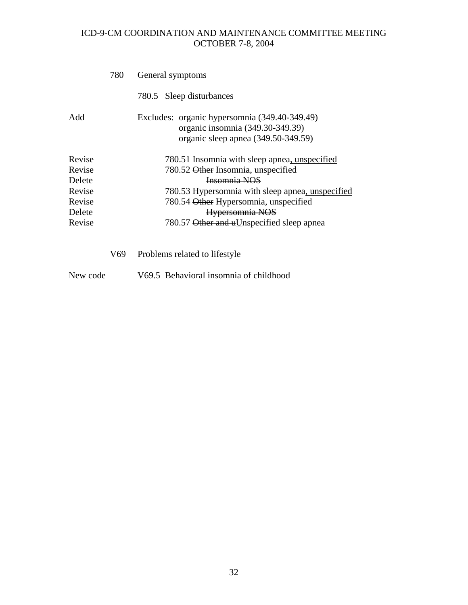|                                                                    | 780 | General symptoms                                                                                                                                                                                                                                                 |
|--------------------------------------------------------------------|-----|------------------------------------------------------------------------------------------------------------------------------------------------------------------------------------------------------------------------------------------------------------------|
|                                                                    |     | 780.5 Sleep disturbances                                                                                                                                                                                                                                         |
| Add                                                                |     | Excludes: organic hypersomnia (349.40-349.49)<br>organic insomnia (349.30-349.39)<br>organic sleep apnea (349.50-349.59)                                                                                                                                         |
| Revise<br>Revise<br>Delete<br>Revise<br>Revise<br>Delete<br>Revise |     | 780.51 Insomnia with sleep apnea, unspecified<br>780.52 Other Insomnia, unspecified<br>Insomnia NOS<br>780.53 Hypersomnia with sleep apnea, unspecified<br>780.54 Other Hypersomnia, unspecified<br>Hypersomnia NOS<br>780.57 Other and uUnspecified sleep apnea |
|                                                                    | V69 | Problems related to lifestyle                                                                                                                                                                                                                                    |
| New code                                                           |     | V69.5 Behavioral insomnia of childhood                                                                                                                                                                                                                           |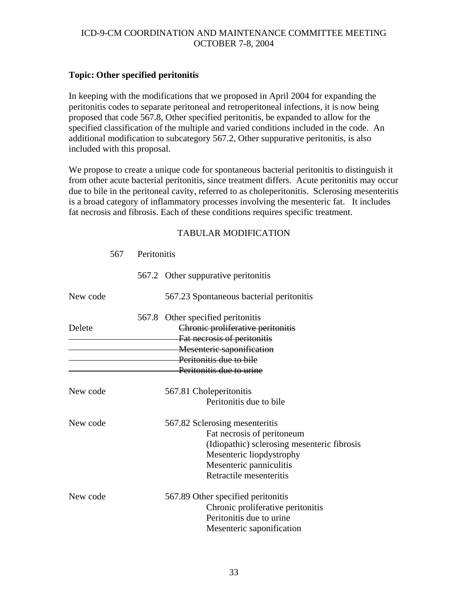### **Topic: Other specified peritonitis**

In keeping with the modifications that we proposed in April 2004 for expanding the peritonitis codes to separate peritoneal and retroperitoneal infections, it is now being proposed that code 567.8, Other specified peritonitis, be expanded to allow for the specified classification of the multiple and varied conditions included in the code. An additional modification to subcategory 567.2, Other suppurative peritonitis, is also included with this proposal.

We propose to create a unique code for spontaneous bacterial peritonitis to distinguish it from other acute bacterial peritonitis, since treatment differs. Acute peritonitis may occur due to bile in the peritoneal cavity, referred to as choleperitonitis. Sclerosing mesenteritis is a broad category of inflammatory processes involving the mesenteric fat. It includes fat necrosis and fibrosis. Each of these conditions requires specific treatment.

|          | 567 Peritonitis |                                                                        |
|----------|-----------------|------------------------------------------------------------------------|
|          |                 | 567.2 Other suppurative peritonitis                                    |
| New code |                 | 567.23 Spontaneous bacterial peritonitis                               |
| Delete   |                 | 567.8 Other specified peritonitis<br>Chronic proliferative peritonitis |
|          |                 | Fat necrosis of peritonitis<br>Mesenteric saponification               |
|          |                 | Peritonitis due to bile                                                |
|          |                 | Peritonitis due to urine                                               |
| New code |                 | 567.81 Choleperitonitis                                                |
|          |                 | Peritonitis due to bile                                                |
| New code |                 | 567.82 Sclerosing mesenteritis                                         |
|          |                 | Fat necrosis of peritoneum                                             |
|          |                 | (Idiopathic) sclerosing mesenteric fibrosis                            |
|          |                 | Mesenteric liopdystrophy                                               |
|          |                 | Mesenteric panniculitis                                                |
|          |                 | Retractile mesenteritis                                                |
| New code |                 | 567.89 Other specified peritonitis                                     |
|          |                 | Chronic proliferative peritonitis                                      |
|          |                 | Peritonitis due to urine                                               |
|          |                 | Mesenteric saponification                                              |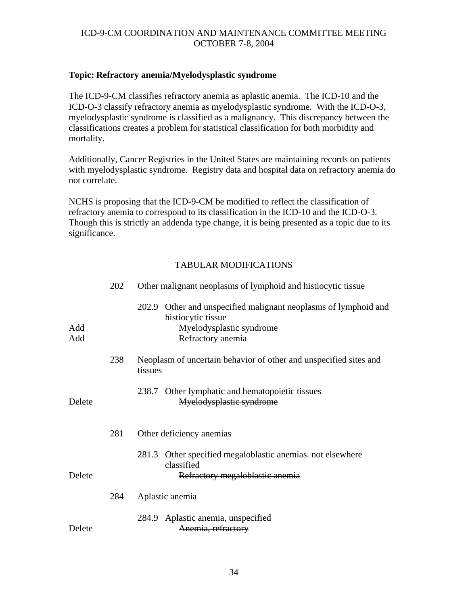### **Topic: Refractory anemia/Myelodysplastic syndrome**

The ICD-9-CM classifies refractory anemia as aplastic anemia. The ICD-10 and the ICD-O-3 classify refractory anemia as myelodysplastic syndrome. With the ICD-O-3, myelodysplastic syndrome is classified as a malignancy. This discrepancy between the classifications creates a problem for statistical classification for both morbidity and mortality.

Additionally, Cancer Registries in the United States are maintaining records on patients with myelodysplastic syndrome. Registry data and hospital data on refractory anemia do not correlate.

NCHS is proposing that the ICD-9-CM be modified to reflect the classification of refractory anemia to correspond to its classification in the ICD-10 and the ICD-O-3. Though this is strictly an addenda type change, it is being presented as a topic due to its significance.

|            | 202 | Other malignant neoplasms of lymphoid and histiocytic tissue                                                                              |
|------------|-----|-------------------------------------------------------------------------------------------------------------------------------------------|
| Add<br>Add |     | 202.9<br>Other and unspecified malignant neoplasms of lymphoid and<br>histiocytic tissue<br>Myelodysplastic syndrome<br>Refractory anemia |
|            | 238 | Neoplasm of uncertain behavior of other and unspecified sites and<br>tissues                                                              |
| Delete     |     | 238.7 Other lymphatic and hematopoietic tissues<br>Myelodysplastic syndrome                                                               |
|            | 281 | Other deficiency anemias                                                                                                                  |
| Delete     |     | Other specified megaloblastic anemias, not elsewhere<br>281.3<br>classified<br>Refractory megaloblastic anemia                            |
|            | 284 | Aplastic anemia                                                                                                                           |
| Delete     |     | 284.9 Aplastic anemia, unspecified<br>Anemia, refractory                                                                                  |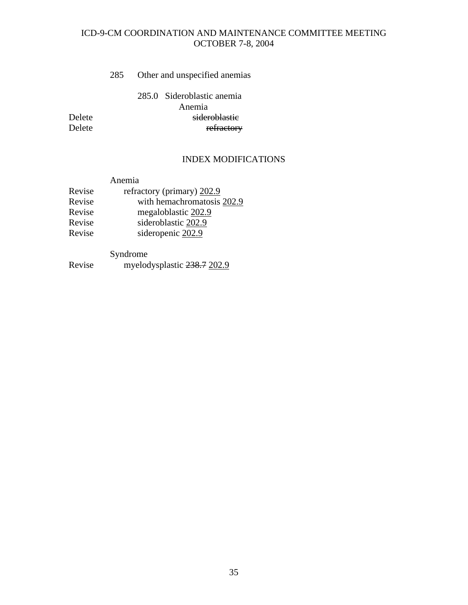### 285 Other and unspecified anemias

 285.0 Sideroblastic anemia Anemia Delete sideroblastic<br>Delete settlements of the sideroblastic settlements of the sideroblastic settlements of the sideroblastic set<br>On the sideroblastic settlements of the sideroblastic settlements of the side of the side o refractory

# INDEX MODIFICATIONS

|        | Anemia                     |
|--------|----------------------------|
| Revise | refractory (primary) 202.9 |
| Revise | with hemachromatosis 202.9 |
| Revise | megaloblastic 202.9        |
| Revise | sideroblastic 202.9        |
| Revise | sideropenic 202.9          |
|        |                            |

Syndrome

Revise myelodysplastic 238.7 202.9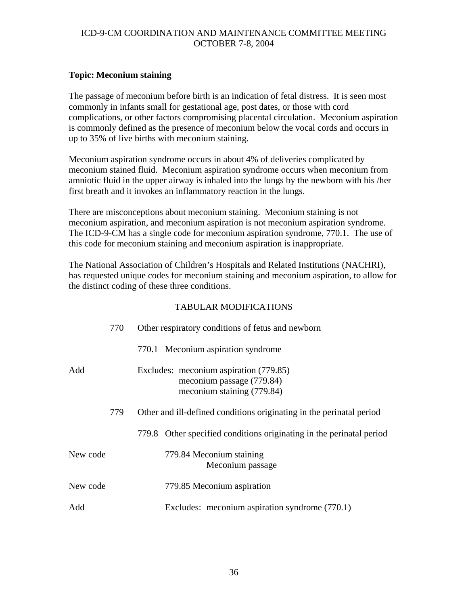### **Topic: Meconium staining**

The passage of meconium before birth is an indication of fetal distress. It is seen most commonly in infants small for gestational age, post dates, or those with cord complications, or other factors compromising placental circulation. Meconium aspiration is commonly defined as the presence of meconium below the vocal cords and occurs in up to 35% of live births with meconium staining.

Meconium aspiration syndrome occurs in about 4% of deliveries complicated by meconium stained fluid. Meconium aspiration syndrome occurs when meconium from amniotic fluid in the upper airway is inhaled into the lungs by the newborn with his /her first breath and it invokes an inflammatory reaction in the lungs.

There are misconceptions about meconium staining. Meconium staining is not meconium aspiration, and meconium aspiration is not meconium aspiration syndrome. The ICD-9-CM has a single code for meconium aspiration syndrome, 770.1. The use of this code for meconium staining and meconium aspiration is inappropriate.

The National Association of Children's Hospitals and Related Institutions (NACHRI), has requested unique codes for meconium staining and meconium aspiration, to allow for the distinct coding of these three conditions.

|          | 770 | Other respiratory conditions of fetus and newborn                                                 |
|----------|-----|---------------------------------------------------------------------------------------------------|
|          |     | 770.1 Meconium aspiration syndrome                                                                |
| Add      |     | Excludes: meconium aspiration (779.85)<br>meconium passage (779.84)<br>meconium staining (779.84) |
|          | 779 | Other and ill-defined conditions originating in the perinatal period                              |
|          |     | 779.8 Other specified conditions originating in the perinatal period                              |
| New code |     | 779.84 Meconium staining<br>Meconium passage                                                      |
| New code |     | 779.85 Meconium aspiration                                                                        |
| Add      |     | Excludes: meconium aspiration syndrome (770.1)                                                    |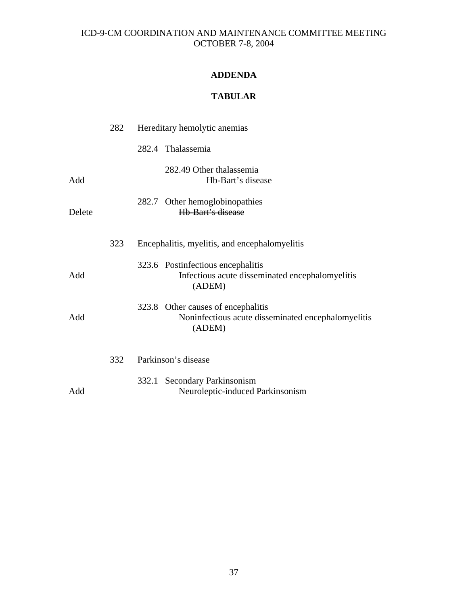# **ADDENDA**

# **TABULAR**

|        | 282 | Hereditary hemolytic anemias                                                                       |
|--------|-----|----------------------------------------------------------------------------------------------------|
|        |     | 282.4 Thalassemia                                                                                  |
| Add    |     | 282.49 Other thalassemia<br>Hb-Bart's disease                                                      |
| Delete |     | Other hemoglobinopathies<br>282.7<br>Hb-Bart's disease                                             |
|        | 323 | Encephalitis, myelitis, and encephalomyelitis                                                      |
| Add    |     | 323.6 Postinfectious encephalitis<br>Infectious acute disseminated encephalomyelitis<br>(ADEM)     |
| Add    |     | 323.8 Other causes of encephalitis<br>Noninfectious acute disseminated encephalomyelitis<br>(ADEM) |
|        | 332 | Parkinson's disease                                                                                |
| Add    |     | 332.1 Secondary Parkinsonism<br>Neuroleptic-induced Parkinsonism                                   |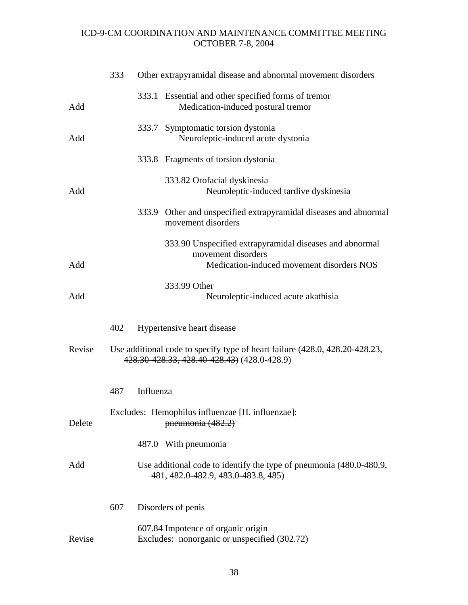|        | 333 | Other extrapyramidal disease and abnormal movement disorders                                                                 |
|--------|-----|------------------------------------------------------------------------------------------------------------------------------|
| Add    |     | 333.1 Essential and other specified forms of tremor<br>Medication-induced postural tremor                                    |
| Add    |     | 333.7 Symptomatic torsion dystonia<br>Neuroleptic-induced acute dystonia                                                     |
|        |     | 333.8 Fragments of torsion dystonia                                                                                          |
| Add    |     | 333.82 Orofacial dyskinesia<br>Neuroleptic-induced tardive dyskinesia                                                        |
|        |     | 333.9 Other and unspecified extrapyramidal diseases and abnormal<br>movement disorders                                       |
| Add    |     | 333.90 Unspecified extrapyramidal diseases and abnormal<br>movement disorders<br>Medication-induced movement disorders NOS   |
| Add    |     | 333.99 Other<br>Neuroleptic-induced acute akathisia                                                                          |
|        | 402 | Hypertensive heart disease                                                                                                   |
| Revise |     | Use additional code to specify type of heart failure (428.0, 428.20 428.23,<br>428.30 428.33, 428.40 428.43) (428.0 - 428.9) |
|        | 487 | Influenza                                                                                                                    |
| Delete |     | Excludes: Hemophilus influenzae [H. influenzae]:<br>pneumonia (482.2)                                                        |
|        |     | 487.0 With pneumonia                                                                                                         |
| Add    |     | Use additional code to identify the type of pneumonia (480.0-480.9,<br>481, 482.0-482.9, 483.0-483.8, 485)                   |
|        | 607 | Disorders of penis                                                                                                           |
| Revise |     | 607.84 Impotence of organic origin<br>Excludes: nonorganic or unspecified (302.72)                                           |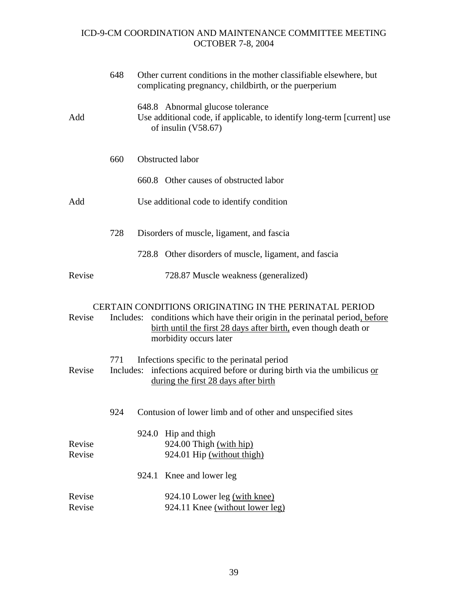|                  | 648              | Other current conditions in the mother classifiable elsewhere, but<br>complicating pregnancy, childbirth, or the puerperium                                                                                                                |
|------------------|------------------|--------------------------------------------------------------------------------------------------------------------------------------------------------------------------------------------------------------------------------------------|
| Add              |                  | 648.8 Abnormal glucose tolerance<br>Use additional code, if applicable, to identify long-term [current] use<br>of insulin (V58.67)                                                                                                         |
|                  | 660              | Obstructed labor                                                                                                                                                                                                                           |
|                  |                  | 660.8 Other causes of obstructed labor                                                                                                                                                                                                     |
| Add              |                  | Use additional code to identify condition                                                                                                                                                                                                  |
|                  | 728              | Disorders of muscle, ligament, and fascia                                                                                                                                                                                                  |
|                  |                  | 728.8 Other disorders of muscle, ligament, and fascia                                                                                                                                                                                      |
| Revise           |                  | 728.87 Muscle weakness (generalized)                                                                                                                                                                                                       |
| Revise           |                  | <b>CERTAIN CONDITIONS ORIGINATING IN THE PERINATAL PERIOD</b><br>Includes: conditions which have their origin in the perinatal period, before<br>birth until the first 28 days after birth, even though death or<br>morbidity occurs later |
| Revise           | 771<br>Includes: | Infections specific to the perinatal period<br>infections acquired before or during birth via the umbilicus or<br>during the first 28 days after birth                                                                                     |
|                  | 924              | Contusion of lower limb and of other and unspecified sites                                                                                                                                                                                 |
| Revise<br>Revise |                  | 924.0 Hip and thigh<br>924.00 Thigh (with hip)<br>924.01 Hip (without thigh)                                                                                                                                                               |
|                  |                  | 924.1 Knee and lower leg                                                                                                                                                                                                                   |
| Revise<br>Revise |                  | 924.10 Lower leg (with knee)<br>924.11 Knee (without lower leg)                                                                                                                                                                            |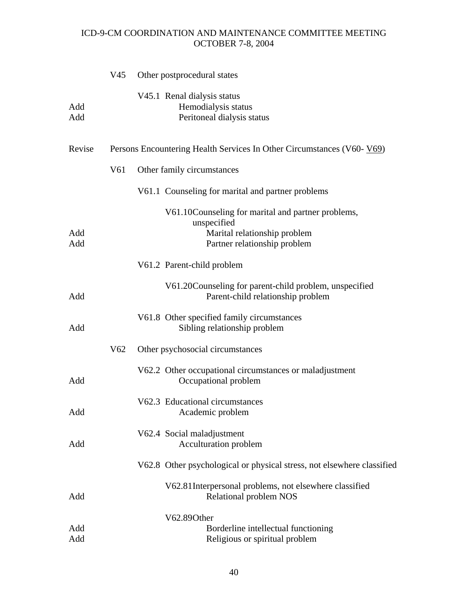|            | V45             | Other postprocedural states                                                                                                        |
|------------|-----------------|------------------------------------------------------------------------------------------------------------------------------------|
| Add<br>Add |                 | V45.1 Renal dialysis status<br>Hemodialysis status<br>Peritoneal dialysis status                                                   |
| Revise     |                 | Persons Encountering Health Services In Other Circumstances (V60-V69)                                                              |
|            | V <sub>61</sub> | Other family circumstances                                                                                                         |
|            |                 | V61.1 Counseling for marital and partner problems                                                                                  |
| Add<br>Add |                 | V61.10 Counseling for marital and partner problems,<br>unspecified<br>Marital relationship problem<br>Partner relationship problem |
|            |                 | V61.2 Parent-child problem                                                                                                         |
| Add        |                 | V61.20 Counseling for parent-child problem, unspecified<br>Parent-child relationship problem                                       |
| Add        |                 | V61.8 Other specified family circumstances<br>Sibling relationship problem                                                         |
|            | V <sub>62</sub> | Other psychosocial circumstances                                                                                                   |
| Add        |                 | V62.2 Other occupational circumstances or maladjustment<br>Occupational problem                                                    |
| Add        |                 | V62.3 Educational circumstances<br>Academic problem                                                                                |
| Add        |                 | V62.4 Social maladjustment<br>Acculturation problem                                                                                |
|            |                 | V62.8 Other psychological or physical stress, not elsewhere classified                                                             |
| Add        |                 | V62.81 Interpersonal problems, not elsewhere classified<br>Relational problem NOS                                                  |
| Add<br>Add |                 | V62.89Other<br>Borderline intellectual functioning<br>Religious or spiritual problem                                               |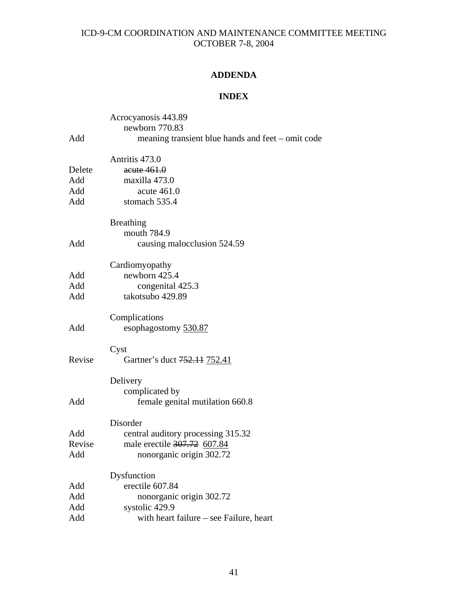# **ADDENDA**

## **INDEX**

|        | Acrocyanosis 443.89                               |
|--------|---------------------------------------------------|
|        | newborn 770.83                                    |
| Add    | meaning transient blue hands and feet – omit code |
|        | Antritis 473.0                                    |
| Delete | acute 461.0                                       |
| Add    | maxilla 473.0                                     |
| Add    | acute 461.0                                       |
| Add    | stomach 535.4                                     |
|        | <b>Breathing</b>                                  |
|        | mouth 784.9                                       |
| Add    | causing malocclusion 524.59                       |
|        | Cardiomyopathy                                    |
| Add    | newborn 425.4                                     |
| Add    | congenital 425.3                                  |
| Add    | takotsubo 429.89                                  |
|        | Complications                                     |
| Add    | esophagostomy 530.87                              |
|        | Cyst                                              |
| Revise | Gartner's duct 752.11 752.41                      |
|        | Delivery                                          |
|        | complicated by                                    |
| Add    | female genital mutilation 660.8                   |
|        | Disorder                                          |
| Add    | central auditory processing 315.32                |
| Revise | male erectile 307.72 607.84                       |
| Add    | nonorganic origin 302.72                          |
|        | Dysfunction                                       |
| Add    | erectile 607.84                                   |
| Add    | nonorganic origin 302.72                          |
| Add    | systolic 429.9                                    |
| Add    | with heart failure – see Failure, heart           |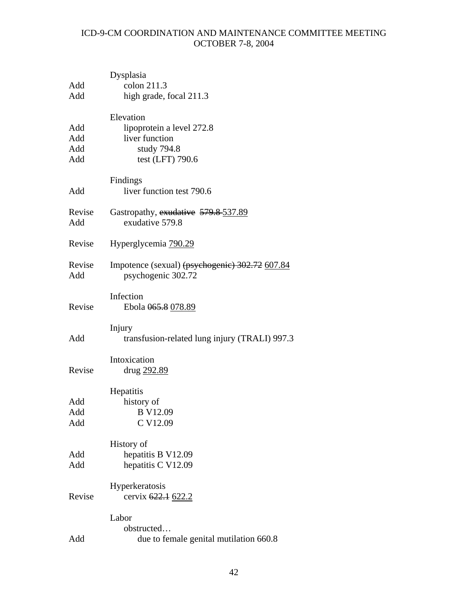| Add<br>Add               | Dysplasia<br>colon 211.3<br>high grade, focal 211.3                                         |
|--------------------------|---------------------------------------------------------------------------------------------|
| Add<br>Add<br>Add<br>Add | Elevation<br>lipoprotein a level 272.8<br>liver function<br>study 794.8<br>test (LFT) 790.6 |
| Add                      | Findings<br>liver function test 790.6                                                       |
| Revise<br>Add            | Gastropathy, exudative 579.8-537.89<br>exudative 579.8                                      |
| Revise                   | Hyperglycemia 790.29                                                                        |
| Revise<br>Add            | Impotence (sexual) (psychogenic) 302.72 607.84<br>psychogenic 302.72                        |
| Revise                   | Infection<br>Ebola 065.8 078.89                                                             |
| Add                      | Injury<br>transfusion-related lung injury (TRALI) 997.3                                     |
| Revise                   | Intoxication<br>drug 292.89                                                                 |
| Add<br>Add<br>Add        | Hepatitis<br>history of<br><b>B</b> V12.09<br>C V12.09                                      |
| Add<br>Add               | History of<br>hepatitis B V12.09<br>hepatitis C V12.09                                      |
| Revise                   | Hyperkeratosis<br>cervix 622.1 622.2                                                        |
| Add                      | Labor<br>obstructed<br>due to female genital mutilation 660.8                               |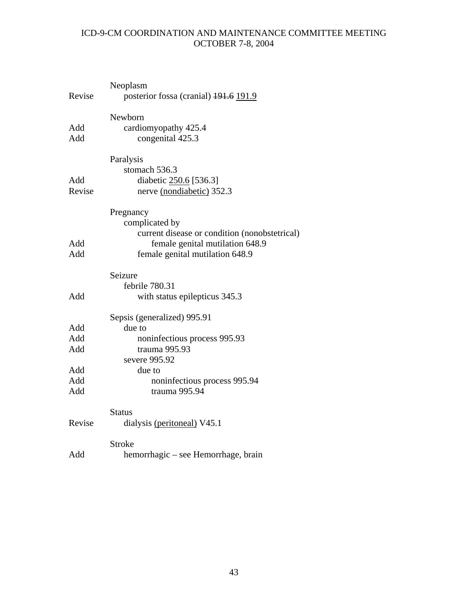|        | Neoplasm                                      |
|--------|-----------------------------------------------|
| Revise | posterior fossa (cranial) 191.6 191.9         |
|        | Newborn                                       |
| Add    | cardiomyopathy 425.4                          |
| Add    | congenital 425.3                              |
|        | Paralysis                                     |
|        | stomach 536.3                                 |
| Add    | diabetic 250.6 [536.3]                        |
| Revise | nerve (nondiabetic) 352.3                     |
|        | Pregnancy                                     |
|        | complicated by                                |
|        | current disease or condition (nonobstetrical) |
| Add    | female genital mutilation 648.9               |
| Add    | female genital mutilation 648.9               |
|        | Seizure                                       |
|        | febrile 780.31                                |
| Add    | with status epilepticus 345.3                 |
|        | Sepsis (generalized) 995.91                   |
| Add    | due to                                        |
| Add    | noninfectious process 995.93                  |
| Add    | trauma 995.93                                 |
|        | severe 995.92                                 |
| Add    | due to                                        |
| Add    | noninfectious process 995.94                  |
| Add    | trauma 995.94                                 |
|        | <b>Status</b>                                 |
| Revise | dialysis (peritoneal) V45.1                   |
|        | <b>Stroke</b>                                 |
| Add    | hemorrhagic – see Hemorrhage, brain           |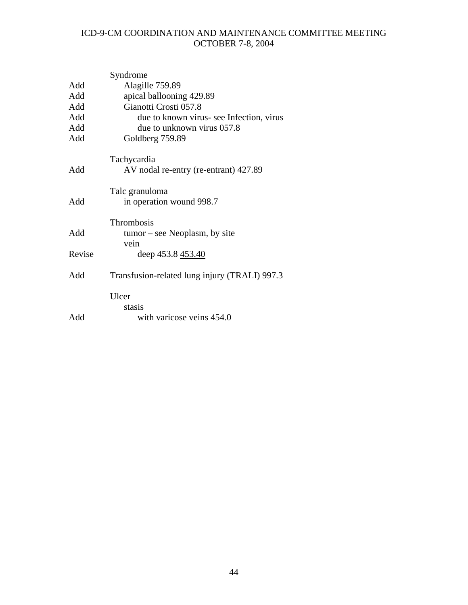|        | Syndrome                                      |
|--------|-----------------------------------------------|
| Add    | Alagille 759.89                               |
| Add    | apical ballooning 429.89                      |
| Add    | Gianotti Crosti 057.8                         |
| Add    | due to known virus- see Infection, virus      |
| Add    | due to unknown virus 057.8                    |
| Add    | Goldberg 759.89                               |
|        | Tachycardia                                   |
| Add    | AV nodal re-entry (re-entrant) 427.89         |
|        | Talc granuloma                                |
| Add    | in operation wound 998.7                      |
|        | Thrombosis                                    |
| Add    | $tumor - see Neoplasm, by site$               |
|        | vein                                          |
| Revise | deep 453.8 453.40                             |
| Add    | Transfusion-related lung injury (TRALI) 997.3 |
|        | Ulcer                                         |
|        | stasis                                        |
| Add    | with varicose veins 454.0                     |